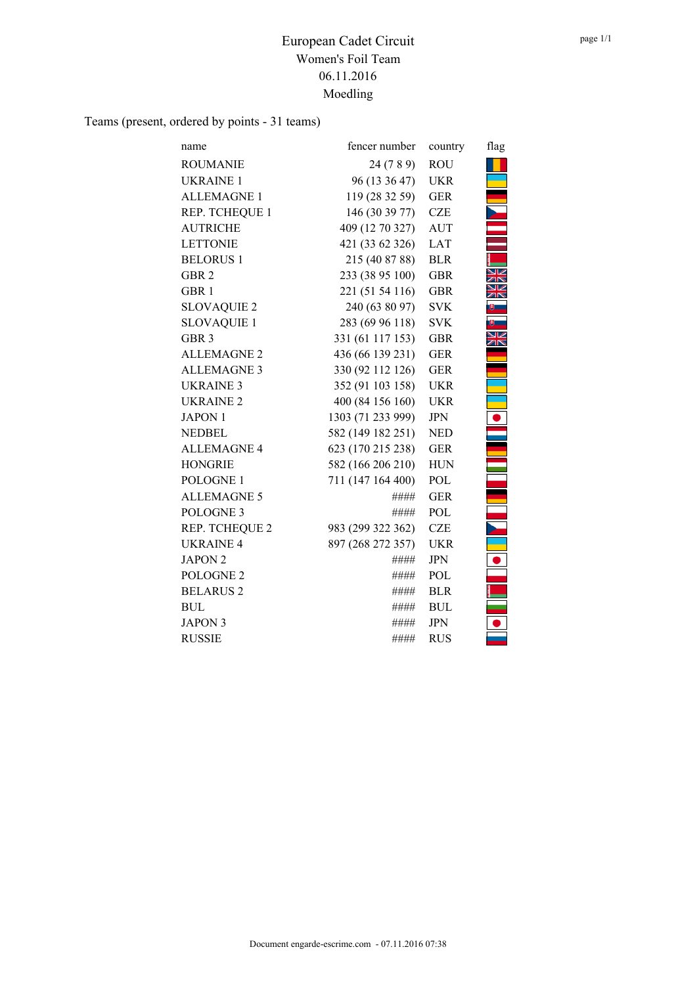Teams (present, ordered by points - 31 teams)

| name                 | fencer number     | country    | flag |
|----------------------|-------------------|------------|------|
| <b>ROUMANIE</b>      | 24 (7 8 9)        | <b>ROU</b> |      |
| <b>UKRAINE 1</b>     | 96 (13 36 47)     | <b>UKR</b> |      |
| <b>ALLEMAGNE 1</b>   | 119 (28 32 59)    | <b>GER</b> |      |
| REP. TCHEQUE 1       | 146 (30 39 77)    | <b>CZE</b> |      |
| <b>AUTRICHE</b>      | 409 (12 70 327)   | <b>AUT</b> |      |
| <b>LETTONIE</b>      | 421 (33 62 326)   | <b>LAT</b> |      |
| <b>BELORUS1</b>      | 215 (40 87 88)    | <b>BLR</b> |      |
| GBR <sub>2</sub>     | 233 (38 95 100)   | <b>GBR</b> |      |
| GBR <sub>1</sub>     | 221 (51 54 116)   | <b>GBR</b> |      |
| <b>SLOVAQUIE 2</b>   | 240 (63 80 97)    | <b>SVK</b> |      |
| <b>SLOVAQUIE 1</b>   | 283 (69 96 118)   | <b>SVK</b> |      |
| GBR <sub>3</sub>     | 331 (61 117 153)  | <b>GBR</b> |      |
| <b>ALLEMAGNE 2</b>   | 436 (66 139 231)  | <b>GER</b> |      |
| <b>ALLEMAGNE 3</b>   | 330 (92 112 126)  | <b>GER</b> |      |
| <b>UKRAINE 3</b>     | 352 (91 103 158)  | <b>UKR</b> |      |
| UKRAINE <sub>2</sub> | 400 (84 156 160)  | <b>UKR</b> |      |
| <b>JAPON 1</b>       | 1303 (71 233 999) | <b>JPN</b> |      |
| <b>NEDBEL</b>        | 582 (149 182 251) | <b>NED</b> |      |
| <b>ALLEMAGNE 4</b>   | 623 (170 215 238) | <b>GER</b> |      |
| <b>HONGRIE</b>       | 582 (166 206 210) | <b>HUN</b> |      |
| POLOGNE 1            | 711 (147 164 400) | POL        |      |
| <b>ALLEMAGNE 5</b>   | ####              | <b>GER</b> |      |
| POLOGNE <sub>3</sub> | ####              | POL        |      |
| REP. TCHEQUE 2       | 983 (299 322 362) | <b>CZE</b> |      |
| <b>UKRAINE 4</b>     | 897 (268 272 357) | <b>UKR</b> |      |
| <b>JAPON 2</b>       | ####              | <b>JPN</b> |      |
| POLOGNE <sub>2</sub> | ####              | POL        |      |
| <b>BELARUS 2</b>     | ####              | <b>BLR</b> |      |
| <b>BUL</b>           | ####              | <b>BUL</b> |      |
| <b>JAPON 3</b>       | ####              | <b>JPN</b> |      |
| <b>RUSSIE</b>        | ####              | <b>RUS</b> |      |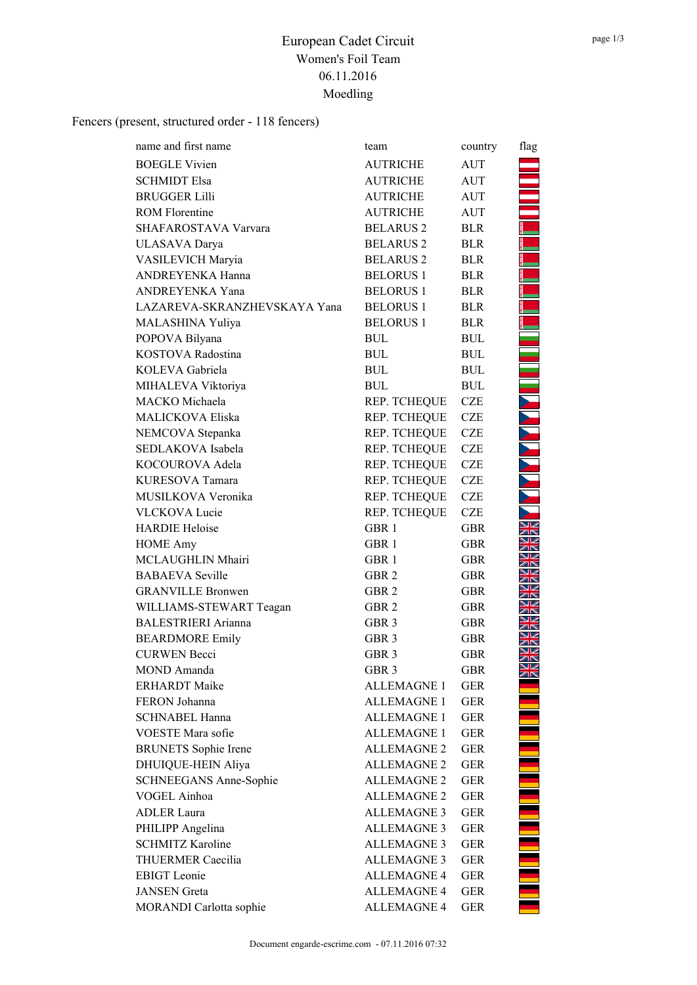Fencers (present, structured order - 118 fencers)

| name and first name           | team               | country    | flag                 |
|-------------------------------|--------------------|------------|----------------------|
| <b>BOEGLE Vivien</b>          | <b>AUTRICHE</b>    | AUT        |                      |
| <b>SCHMIDT Elsa</b>           | <b>AUTRICHE</b>    | <b>AUT</b> |                      |
| <b>BRUGGER Lilli</b>          | <b>AUTRICHE</b>    | <b>AUT</b> |                      |
| <b>ROM Florentine</b>         | <b>AUTRICHE</b>    | <b>AUT</b> |                      |
| SHAFAROSTAVA Varvara          | <b>BELARUS 2</b>   | <b>BLR</b> |                      |
| ULASAVA Darya                 | <b>BELARUS 2</b>   | <b>BLR</b> |                      |
| VASILEVICH Maryia             | <b>BELARUS 2</b>   | <b>BLR</b> |                      |
| ANDREYENKA Hanna              | <b>BELORUS 1</b>   | <b>BLR</b> |                      |
| ANDREYENKA Yana               | <b>BELORUS1</b>    | <b>BLR</b> |                      |
| LAZAREVA-SKRANZHEVSKAYA Yana  | <b>BELORUS 1</b>   | <b>BLR</b> |                      |
| MALASHINA Yuliya              | <b>BELORUS1</b>    | <b>BLR</b> |                      |
| POPOVA Bilyana                | <b>BUL</b>         | <b>BUL</b> |                      |
| KOSTOVA Radostina             | <b>BUL</b>         | <b>BUL</b> | E                    |
| KOLEVA Gabriela               | <b>BUL</b>         | <b>BUL</b> | a.                   |
| MIHALEVA Viktoriya            | <b>BUL</b>         | <b>BUL</b> |                      |
| MACKO Michaela                | REP. TCHEQUE       | <b>CZE</b> |                      |
| MALICKOVA Eliska              | REP. TCHEQUE       | <b>CZE</b> |                      |
| NEMCOVA Stepanka              | REP. TCHEQUE       | <b>CZE</b> |                      |
| SEDLAKOVA Isabela             | REP. TCHEQUE       | CZE        |                      |
| KOCOUROVA Adela               | REP. TCHEQUE       | <b>CZE</b> |                      |
| KURESOVA Tamara               | REP. TCHEQUE       | <b>CZE</b> |                      |
| MUSILKOVA Veronika            | REP. TCHEQUE       | <b>CZE</b> |                      |
| <b>VLCKOVA Lucie</b>          | REP. TCHEQUE       | <b>CZE</b> |                      |
| <b>HARDIE Heloise</b>         | GBR 1              | <b>GBR</b> | 7N                   |
| <b>HOME Amy</b>               | GBR <sub>1</sub>   | <b>GBR</b> | 7 <sup>5</sup>       |
| MCLAUGHLIN Mhairi             | GBR <sub>1</sub>   | <b>GBR</b> |                      |
| <b>BABAEVA</b> Seville        | GBR <sub>2</sub>   | <b>GBR</b> |                      |
| <b>GRANVILLE Bronwen</b>      | GBR <sub>2</sub>   | <b>GBR</b> | ѭ                    |
| WILLIAMS-STEWART Teagan       | GBR 2              | <b>GBR</b> |                      |
| BALESTRIERI Arianna           | GBR 3              | <b>GBR</b> |                      |
| <b>BEARDMORE Emily</b>        | GBR <sub>3</sub>   | <b>GBR</b> |                      |
| <b>CURWEN Becci</b>           | GBR <sub>3</sub>   | <b>GBR</b> | VZ<br>7 <sub>8</sub> |
| MOND Amanda                   | GBR <sub>3</sub>   | <b>GBR</b> | ⊠⊻<br><b>ZIN</b>     |
| <b>ERHARDT</b> Maike          | <b>ALLEMAGNE 1</b> | <b>GER</b> |                      |
| FERON Johanna                 | <b>ALLEMAGNE 1</b> | <b>GER</b> |                      |
| <b>SCHNABEL Hanna</b>         | <b>ALLEMAGNE 1</b> | <b>GER</b> |                      |
| <b>VOESTE</b> Mara sofie      | <b>ALLEMAGNE 1</b> | <b>GER</b> |                      |
| <b>BRUNETS</b> Sophie Irene   | <b>ALLEMAGNE 2</b> | <b>GER</b> |                      |
| DHUIQUE-HEIN Aliya            | <b>ALLEMAGNE 2</b> | <b>GER</b> |                      |
| <b>SCHNEEGANS Anne-Sophie</b> | <b>ALLEMAGNE 2</b> | <b>GER</b> |                      |
| VOGEL Ainhoa                  | <b>ALLEMAGNE 2</b> | <b>GER</b> |                      |
| <b>ADLER</b> Laura            | <b>ALLEMAGNE 3</b> | <b>GER</b> |                      |
| PHILIPP Angelina              | <b>ALLEMAGNE 3</b> | <b>GER</b> |                      |
| <b>SCHMITZ Karoline</b>       | <b>ALLEMAGNE 3</b> | <b>GER</b> |                      |
| THUERMER Caecilia             | <b>ALLEMAGNE 3</b> | <b>GER</b> |                      |
| <b>EBIGT</b> Leonie           | <b>ALLEMAGNE 4</b> | <b>GER</b> |                      |
| <b>JANSEN</b> Greta           | <b>ALLEMAGNE 4</b> | <b>GER</b> |                      |
| MORANDI Carlotta sophie       | <b>ALLEMAGNE 4</b> | <b>GER</b> |                      |
|                               |                    |            |                      |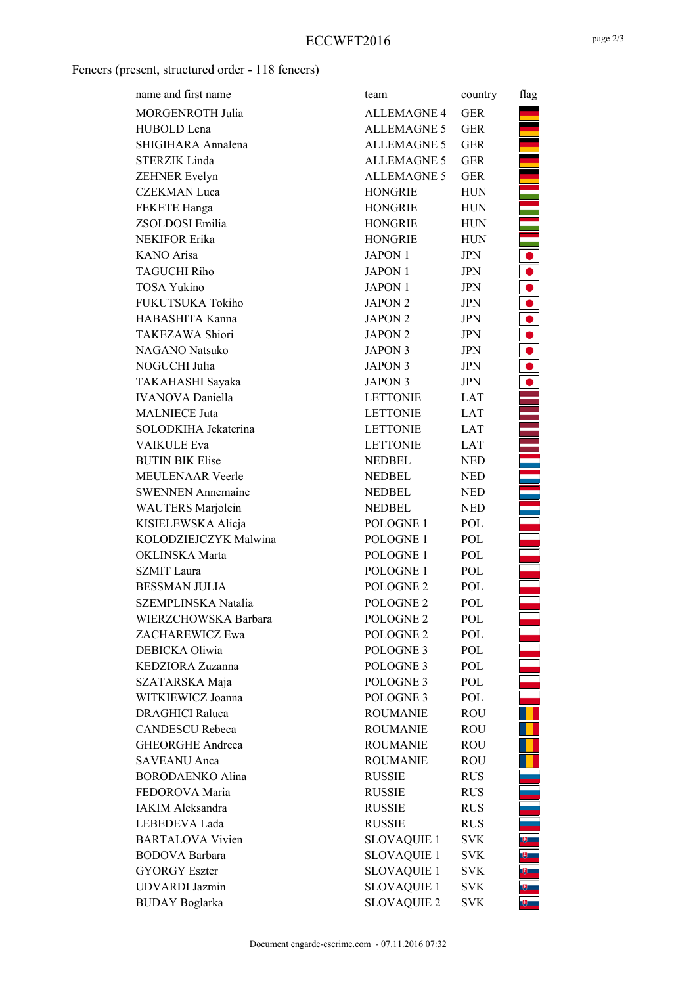## Fencers (present, structured order - 118 fencers)

| name and first name      | team                 | country    | flag                                                         |
|--------------------------|----------------------|------------|--------------------------------------------------------------|
| MORGENROTH Julia         | <b>ALLEMAGNE 4</b>   | <b>GER</b> |                                                              |
| HUBOLD Lena              | <b>ALLEMAGNE 5</b>   | <b>GER</b> |                                                              |
| SHIGIHARA Annalena       | ALLEMAGNE 5          | <b>GER</b> |                                                              |
| <b>STERZIK Linda</b>     | <b>ALLEMAGNE 5</b>   | <b>GER</b> |                                                              |
| ZEHNER Evelyn            | <b>ALLEMAGNE 5</b>   | <b>GER</b> |                                                              |
| <b>CZEKMAN Luca</b>      | <b>HONGRIE</b>       | <b>HUN</b> |                                                              |
| FEKETE Hanga             | <b>HONGRIE</b>       | <b>HUN</b> |                                                              |
| ZSOLDOSI Emilia          | HONGRIE              | <b>HUN</b> |                                                              |
| NEKIFOR Erika            | HONGRIE              | <b>HUN</b> | È,                                                           |
| KANO Arisa               | <b>JAPON 1</b>       | <b>JPN</b> |                                                              |
| <b>TAGUCHI Riho</b>      | JAPON 1              | <b>JPN</b> |                                                              |
| <b>TOSA Yukino</b>       | JAPON 1              | JPN        | $\begin{array}{c} \bullet \\ \bullet \\ \bullet \end{array}$ |
| FUKUTSUKA Tokiho         | JAPON <sub>2</sub>   | JPN        | $\bullet$                                                    |
| HABASHITA Kanna          | JAPON <sub>2</sub>   | <b>JPN</b> | $\bullet$                                                    |
| TAKEZAWA Shiori          | JAPON <sub>2</sub>   | <b>JPN</b> | $\bullet$                                                    |
| NAGANO Natsuko           | JAPON 3              | JPN        | $\bullet$                                                    |
| NOGUCHI Julia            | JAPON 3              | <b>JPN</b> | $\bullet$                                                    |
| TAKAHASHI Sayaka         | JAPON 3              | JPN        | $\bullet$                                                    |
| <b>IVANOVA</b> Daniella  | <b>LETTONIE</b>      | <b>LAT</b> |                                                              |
| <b>MALNIECE Juta</b>     | <b>LETTONIE</b>      | LAT        |                                                              |
| SOLODKIHA Jekaterina     | <b>LETTONIE</b>      | LAT        |                                                              |
| <b>VAIKULE Eva</b>       | <b>LETTONIE</b>      | <b>LAT</b> |                                                              |
| <b>BUTIN BIK Elise</b>   | NEDBEL               | <b>NED</b> |                                                              |
| <b>MEULENAAR Veerle</b>  | NEDBEL               | <b>NED</b> |                                                              |
| <b>SWENNEN Annemaine</b> | NEDBEL               | <b>NED</b> |                                                              |
| WAUTERS Marjolein        | <b>NEDBEL</b>        | <b>NED</b> |                                                              |
| KISIELEWSKA Alicja       | POLOGNE 1            | POL        |                                                              |
| KOLODZIEJCZYK Malwina    | POLOGNE 1            | POL        |                                                              |
| OKLINSKA Marta           | POLOGNE 1            | POL        |                                                              |
| <b>SZMIT</b> Laura       | POLOGNE 1            | POL        |                                                              |
| <b>BESSMAN JULIA</b>     | POLOGNE 2            | POL        |                                                              |
| SZEMPLINSKA Natalia      | POLOGNE <sub>2</sub> | POL        |                                                              |
| WIERZCHOWSKA Barbara     | POLOGNE <sub>2</sub> | POL        |                                                              |
| ZACHAREWICZ Ewa          | POLOGNE <sub>2</sub> | POL        |                                                              |
| DEBICKA Oliwia           | POLOGNE <sub>3</sub> | POL        |                                                              |
| KEDZIORA Zuzanna         | POLOGNE <sub>3</sub> | POL        |                                                              |
| SZATARSKA Maja           | POLOGNE <sub>3</sub> | POL        |                                                              |
| WITKIEWICZ Joanna        | POLOGNE <sub>3</sub> | POL        |                                                              |
| <b>DRAGHICI Raluca</b>   | <b>ROUMANIE</b>      | ROU        |                                                              |
| <b>CANDESCU Rebeca</b>   | <b>ROUMANIE</b>      | ROU        |                                                              |
| <b>GHEORGHE Andreea</b>  | <b>ROUMANIE</b>      | ROU        |                                                              |
| <b>SAVEANU</b> Anca      | <b>ROUMANIE</b>      | ROU        |                                                              |
| <b>BORODAENKO Alina</b>  | <b>RUSSIE</b>        | <b>RUS</b> |                                                              |
| FEDOROVA Maria           | <b>RUSSIE</b>        | <b>RUS</b> |                                                              |
| IAKIM Aleksandra         | <b>RUSSIE</b>        | <b>RUS</b> |                                                              |
| LEBEDEVA Lada            | <b>RUSSIE</b>        | RUS        |                                                              |
| <b>BARTALOVA Vivien</b>  | <b>SLOVAQUIE 1</b>   | SVK.       | υ,                                                           |
| <b>BODOVA Barbara</b>    | <b>SLOVAQUIE 1</b>   | SVK.       | θ.                                                           |
| <b>GYORGY Eszter</b>     | <b>SLOVAQUIE 1</b>   | SVK.       | θ.                                                           |
| <b>UDVARDI</b> Jazmin    | <b>SLOVAQUIE 1</b>   | SVK.       |                                                              |
| <b>BUDAY Boglarka</b>    | <b>SLOVAQUIE 2</b>   | <b>SVK</b> |                                                              |
|                          |                      |            |                                                              |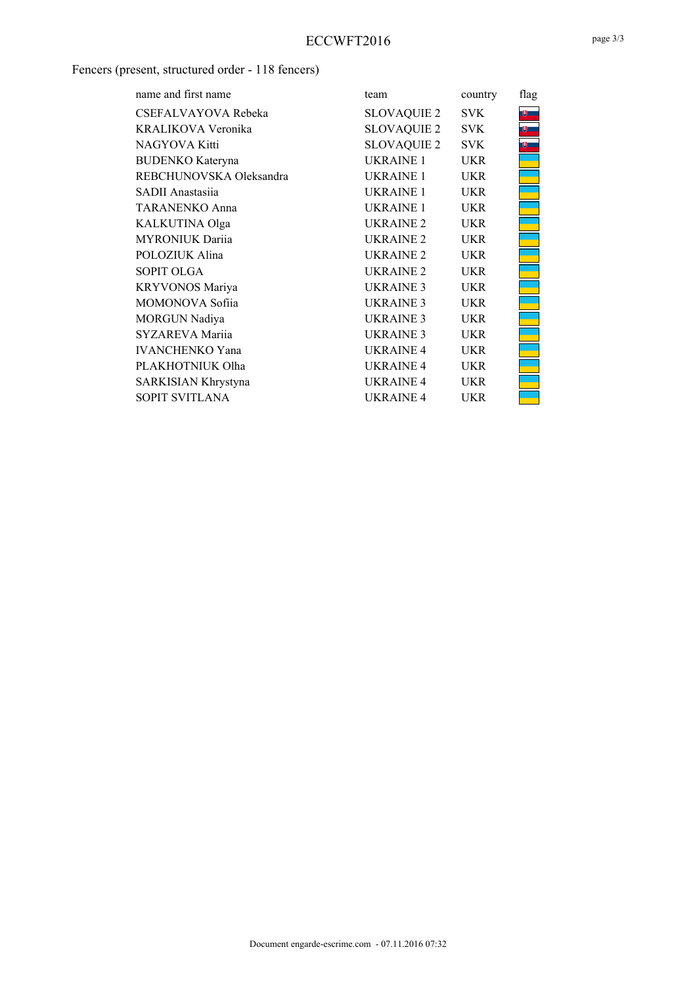### Fencers (present, structured order - 118 fencers)

| name and first name     | team                 | country    | flag         |
|-------------------------|----------------------|------------|--------------|
| CSEFALVAYOVA Rebeka     | SLOVAQUIE 2          | SVK.       | $\mathbf{e}$ |
| KRALIKOVA Veronika      | SLOVAQUIE 2          | <b>SVK</b> |              |
| NAGYOVA Kitti           | SLOVAQUIE 2          | <b>SVK</b> |              |
| <b>BUDENKO</b> Kateryna | UKRAINE 1            | <b>UKR</b> |              |
| REBCHUNOVSKA Oleksandra | UKRAINE 1            | <b>UKR</b> |              |
| SADII Anastasiia        | UKRAINE 1            | <b>UKR</b> |              |
| <b>TARANENKO Anna</b>   | UKRAINE 1            | <b>UKR</b> |              |
| KALKUTINA Olga          | UKRAINE <sub>2</sub> | <b>UKR</b> |              |
| <b>MYRONIUK Darija</b>  | UKRAINE <sub>2</sub> | <b>UKR</b> |              |
| POLOZIUK Alina          | UKRAINE <sub>2</sub> | <b>UKR</b> |              |
| <b>SOPIT OLGA</b>       | UKRAINE <sub>2</sub> | UKR        |              |
| <b>KRYVONOS Mariya</b>  | UKRAINE <sub>3</sub> | <b>UKR</b> |              |
| <b>MOMONOVA Sofija</b>  | UKRAINE <sub>3</sub> | <b>UKR</b> |              |
| MORGUN Nadiya           | UKRAINE <sub>3</sub> | <b>UKR</b> |              |
| SYZAREVA Mariia         | UKRAINE 3            | <b>UKR</b> |              |
| <b>IVANCHENKO Yana</b>  | UKRAINE <sub>4</sub> | <b>UKR</b> |              |
| PLAKHOTNIUK Olha        | UKRAINE <sub>4</sub> | <b>UKR</b> |              |
| SARKISIAN Khrystyna     | UKRAINE <sub>4</sub> | UKR        |              |
| SOPIT SVITLANA          | UKRAINE <sub>4</sub> | UKR        |              |
|                         |                      |            |              |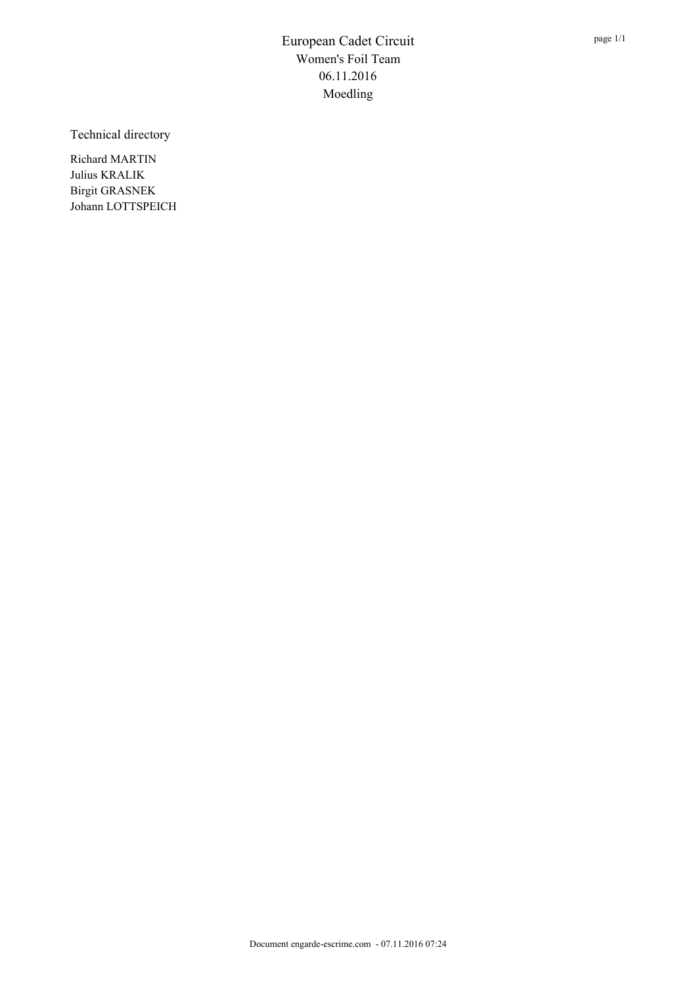Technical directory

Richard MARTIN Julius KRALIK Birgit GRASNEK Johann LOTTSPEICH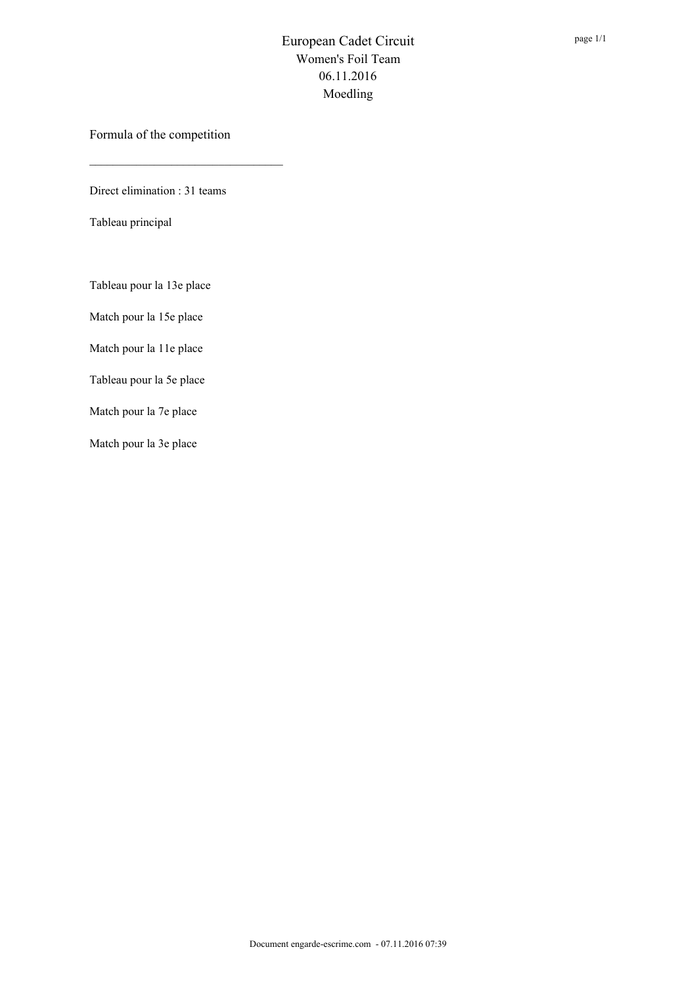Formula of the competition

Direct elimination : 31 teams

Tableau principal

Tableau pour la 13e place

Match pour la 15e place

Match pour la 11e place

Tableau pour la 5e place

Match pour la 7e place

Match pour la 3e place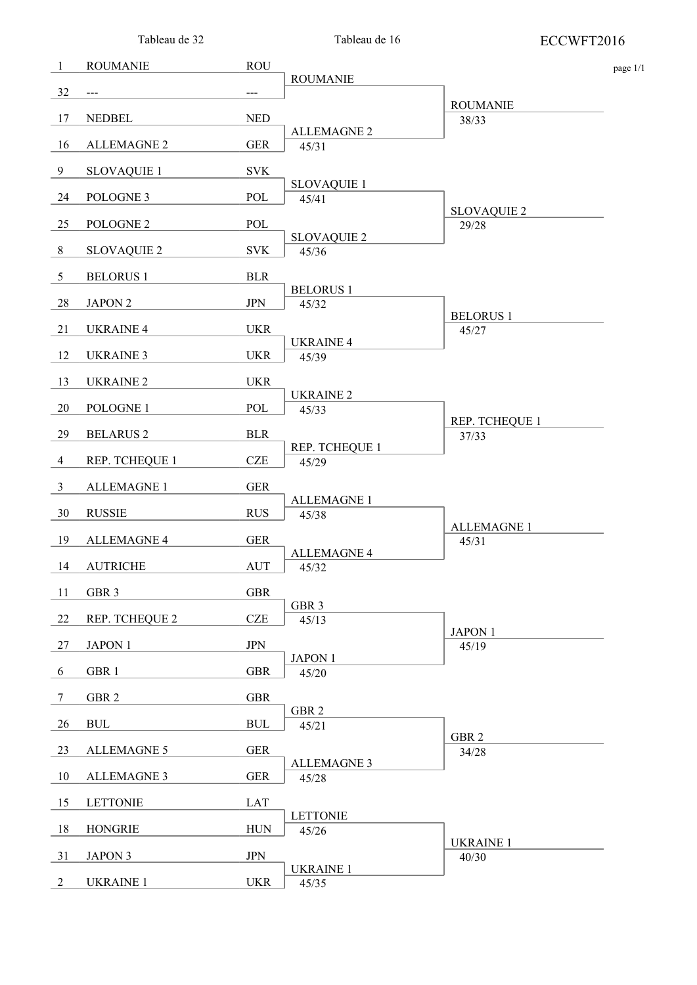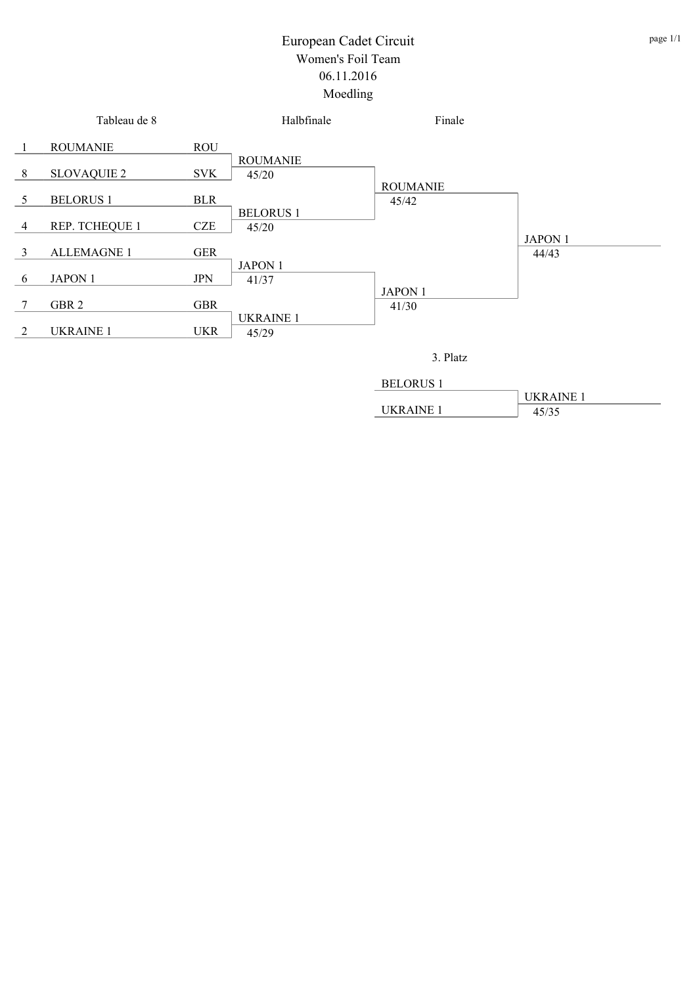

| <b>BELORUS 1</b> |                  |
|------------------|------------------|
|                  | <b>UKRAINE 1</b> |
| <b>IKRAINE 1</b> | 45/35            |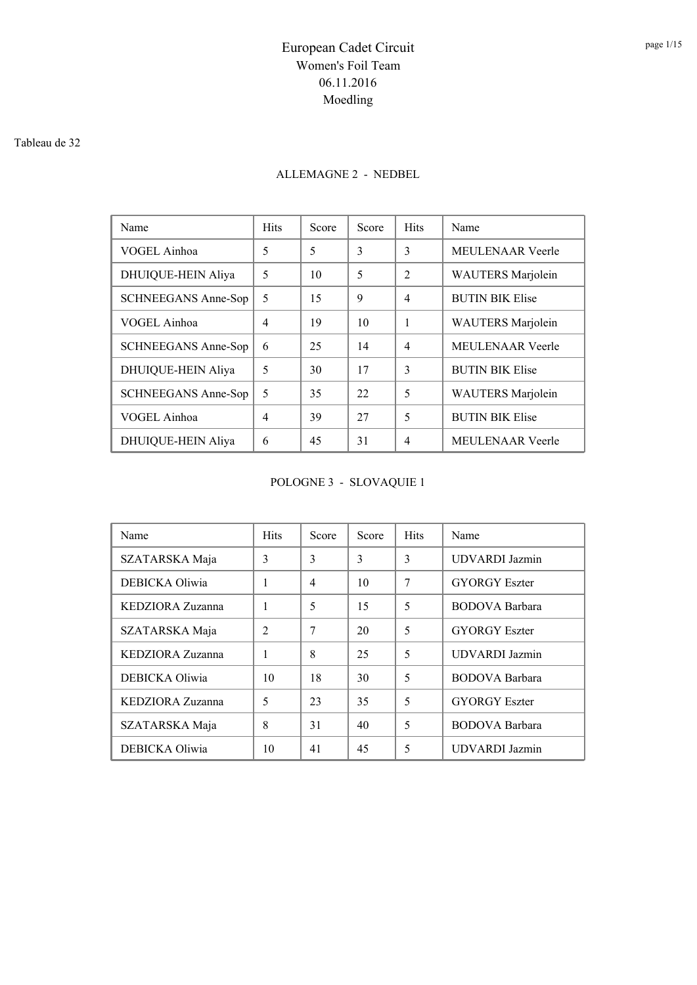#### Tableau de 32

### ALLEMAGNE 2 - NEDBEL

| Name                       | <b>Hits</b> | Score | Score | <b>Hits</b>    | Name                     |
|----------------------------|-------------|-------|-------|----------------|--------------------------|
| VOGEL Ainhoa               | 5           | 5     | 3     | 3              | <b>MEULENAAR</b> Veerle  |
| DHUIQUE-HEIN Aliya         | 5           | 10    | 5     | $\mathfrak{D}$ | <b>WAUTERS</b> Marjolein |
| SCHNEEGANS Anne-Sop        | 5           | 15    | 9     | 4              | <b>BUTIN BIK Elise</b>   |
| VOGEL Ainhoa               | 4           | 19    | 10    | 1              | <b>WAUTERS</b> Marjolein |
| <b>SCHNEEGANS Anne-Sop</b> | 6           | 25    | 14    | $\overline{4}$ | <b>MEULENAAR Veerle</b>  |
| <b>DHUIQUE-HEIN Aliya</b>  | 5           | 30    | 17    | 3              | <b>BUTIN BIK Elise</b>   |
| SCHNEEGANS Anne-Sop        | 5           | 35    | 22    | 5              | <b>WAUTERS</b> Marjolein |
| VOGEL Ainhoa               | 4           | 39    | 27    | 5              | <b>BUTIN BIK Elise</b>   |
| DHUIQUE-HEIN Aliya         | 6           | 45    | 31    | 4              | <b>MEULENAAR Veerle</b>  |

POLOGNE 3 - SLOVAQUIE 1

| Name             | <b>Hits</b>    | Score          | Score | <b>Hits</b> | Name                  |
|------------------|----------------|----------------|-------|-------------|-----------------------|
| SZATARSKA Maja   | 3              | 3              | 3     | 3           | <b>UDVARDI</b> Jazmin |
| DEBICKA Oliwia   | 1              | $\overline{4}$ | 10    | 7           | <b>GYORGY</b> Eszter  |
| KEDZIORA Zuzanna | 1              | 5              | 15    | 5           | <b>BODOVA</b> Barbara |
| SZATARSKA Maja   | $\mathfrak{D}$ | 7              | 20    | 5           | <b>GYORGY Eszter</b>  |
| KEDZIORA Zuzanna | 1              | 8              | 25    | 5           | <b>UDVARDI</b> Jazmin |
| DEBICKA Oliwia   | 10             | 18             | 30    | 5           | <b>BODOVA</b> Barbara |
| KEDZIORA Zuzanna | 5              | 23             | 35    | 5           | <b>GYORGY</b> Eszter  |
| SZATARSKA Maja   | 8              | 31             | 40    | 5           | <b>BODOVA</b> Barbara |
| DEBICKA Oliwia   | 10             | 41             | 45    | 5           | <b>UDVARDI</b> Jazmin |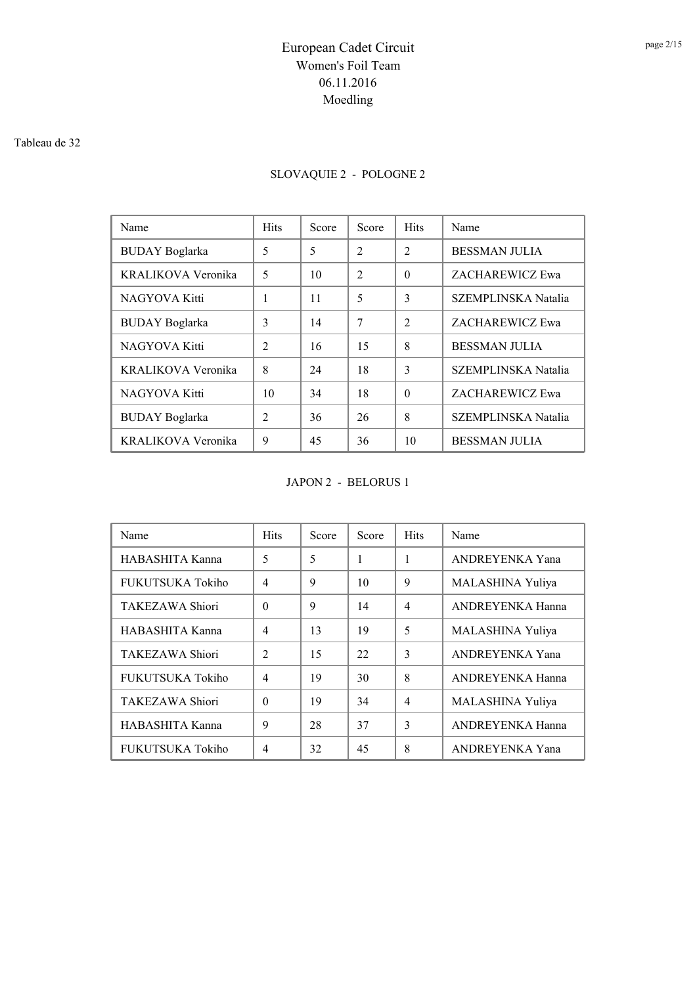#### Tableau de 32

## SLOVAQUIE 2 - POLOGNE 2

| Name                  | <b>Hits</b>    | Score | Score          | <b>Hits</b>    | Name                       |
|-----------------------|----------------|-------|----------------|----------------|----------------------------|
| <b>BUDAY</b> Boglarka | 5              | 5     | $\overline{2}$ | $\mathfrak{D}$ | <b>BESSMAN JULIA</b>       |
| KRALIKOVA Veronika    | 5              | 10    | $\mathfrak{D}$ | $\Omega$       | ZACHAREWICZ Ewa            |
| NAGYOVA Kitti         | 1              | 11    | 5              | 3              | SZEMPLINSKA Natalia        |
| <b>BUDAY</b> Boglarka | 3              | 14    | 7              | $\mathfrak{D}$ | ZACHAREWICZ Ewa            |
| NAGYOVA Kitti         | $\mathfrak{D}$ | 16    | 15             | 8              | <b>BESSMAN JULIA</b>       |
| KRALIKOVA Veronika    | 8              | 24    | 18             | $\mathcal{E}$  | SZEMPLINSKA Natalia        |
| NAGYOVA Kitti         | 10             | 34    | 18             | $\Omega$       | ZACHAREWICZ Ewa            |
| <b>BUDAY</b> Boglarka | $\mathfrak{D}$ | 36    | 26             | 8              | <b>SZEMPLINSKA Natalia</b> |
| KRALIKOVA Veronika    | 9              | 45    | 36             | 10             | <b>BESSMAN JULIA</b>       |

JAPON 2 - BELORUS 1

| Name                   | <b>Hits</b>    | Score | Score | <b>Hits</b>    | Name                    |
|------------------------|----------------|-------|-------|----------------|-------------------------|
| HABASHITA Kanna        | 5              | 5     | 1     | 1              | ANDREYENKA Yana         |
| FUKUTSUKA Tokiho       | $\overline{4}$ | 9     | 10    | 9              | MALASHINA Yuliya        |
| <b>TAKEZAWA Shiori</b> | $\Omega$       | 9     | 14    | $\overline{4}$ | <b>ANDREYENKA Hanna</b> |
| HABASHITA Kanna        | $\overline{4}$ | 13    | 19    | 5              | MALASHINA Yuliya        |
| TAKEZAWA Shiori        | $\mathfrak{D}$ | 15    | 22    | 3              | <b>ANDREYENKA Yana</b>  |
| FUKUTSUKA Tokiho       | $\overline{4}$ | 19    | 30    | 8              | ANDREYENKA Hanna        |
| <b>TAKEZAWA Shiori</b> | $\Omega$       | 19    | 34    | $\overline{4}$ | MALASHINA Yuliya        |
| HABASHITA Kanna        | 9              | 28    | 37    | 3              | <b>ANDREYENKA Hanna</b> |
| FUKUTSUKA Tokiho       | $\overline{4}$ | 32    | 45    | 8              | ANDREYENKA Yana         |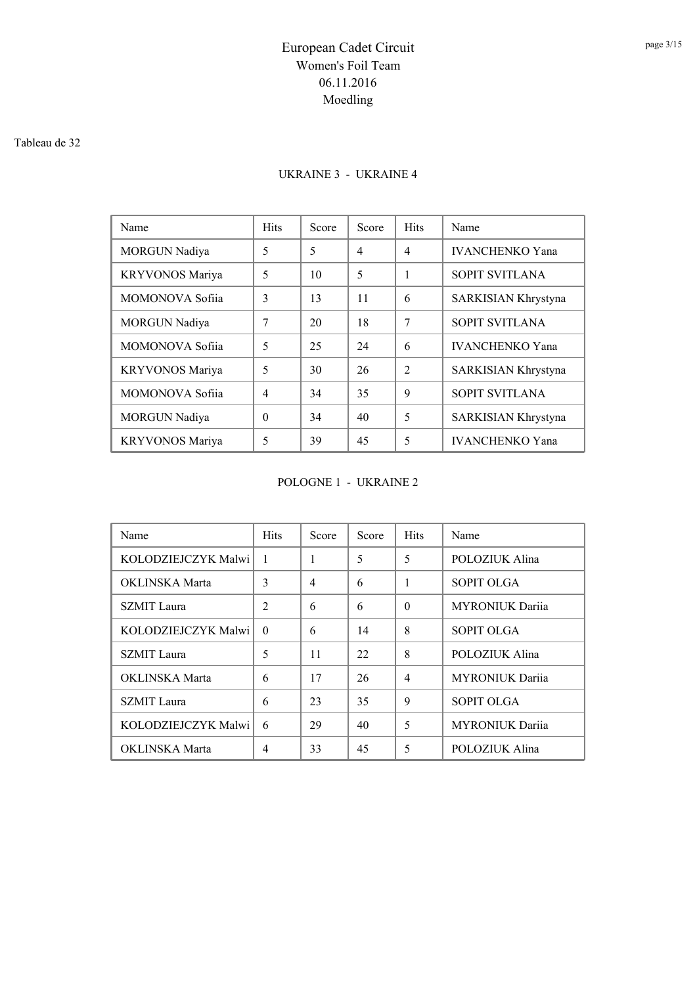#### Tableau de 32

### UKRAINE 3 - UKRAINE 4

| Name                 | <b>Hits</b>    | Score | Score          | <b>Hits</b>    | Name                   |
|----------------------|----------------|-------|----------------|----------------|------------------------|
| <b>MORGUN Nadiya</b> | 5              | 5     | $\overline{4}$ | 4              | <b>IVANCHENKO</b> Yana |
| KRYVONOS Mariya      | 5              | 10    | 5              | 1              | <b>SOPIT SVITLANA</b>  |
| MOMONOVA Sofija      | 3              | 13    | 11             | 6              | SARKISIAN Khrystyna    |
| <b>MORGUN Nadiya</b> | 7              | 20    | 18             | 7              | <b>SOPIT SVITLANA</b>  |
| MOMONOVA Sofija      | 5              | 25    | 24             | 6              | <b>IVANCHENKO Yana</b> |
| KRYVONOS Mariya      | 5              | 30    | 26             | $\mathfrak{D}$ | SARKISIAN Khrystyna    |
| MOMONOVA Sofija      | $\overline{4}$ | 34    | 35             | 9              | <b>SOPIT SVITLANA</b>  |
| MORGUN Nadiya        | 0              | 34    | 40             | 5              | SARKISIAN Khrystyna    |
| KRYVONOS Mariya      | 5              | 39    | 45             | 5              | <b>IVANCHENKO Yana</b> |

POLOGNE 1 - UKRAINE 2

| Name                | <b>Hits</b>    | Score | Score | <b>Hits</b>    | Name                   |
|---------------------|----------------|-------|-------|----------------|------------------------|
| KOLODZIEJCZYK Malwi | 1              | 1     | 5     | 5              | POLOZIUK Alina         |
| OKLINSKA Marta      | 3              | 4     | 6     | 1              | <b>SOPIT OLGA</b>      |
| <b>SZMIT</b> Laura  | $\overline{2}$ | 6     | 6     | $\Omega$       | <b>MYRONIUK Darija</b> |
| KOLODZIEJCZYK Malwi | $\Omega$       | 6     | 14    | 8              | <b>SOPIT OLGA</b>      |
| <b>SZMIT</b> Laura  | 5              | 11    | 22    | 8              | POLOZIUK Alina         |
| OKLINSKA Marta      | 6              | 17    | 26    | $\overline{4}$ | <b>MYRONIUK Darija</b> |
| <b>SZMIT</b> Laura  | 6              | 23    | 35    | 9              | <b>SOPIT OLGA</b>      |
| KOLODZIEJCZYK Malwi | 6              | 29    | 40    | 5              | <b>MYRONIUK Darija</b> |
| OKLINSKA Marta      | 4              | 33    | 45    | 5              | POLOZIUK Alina         |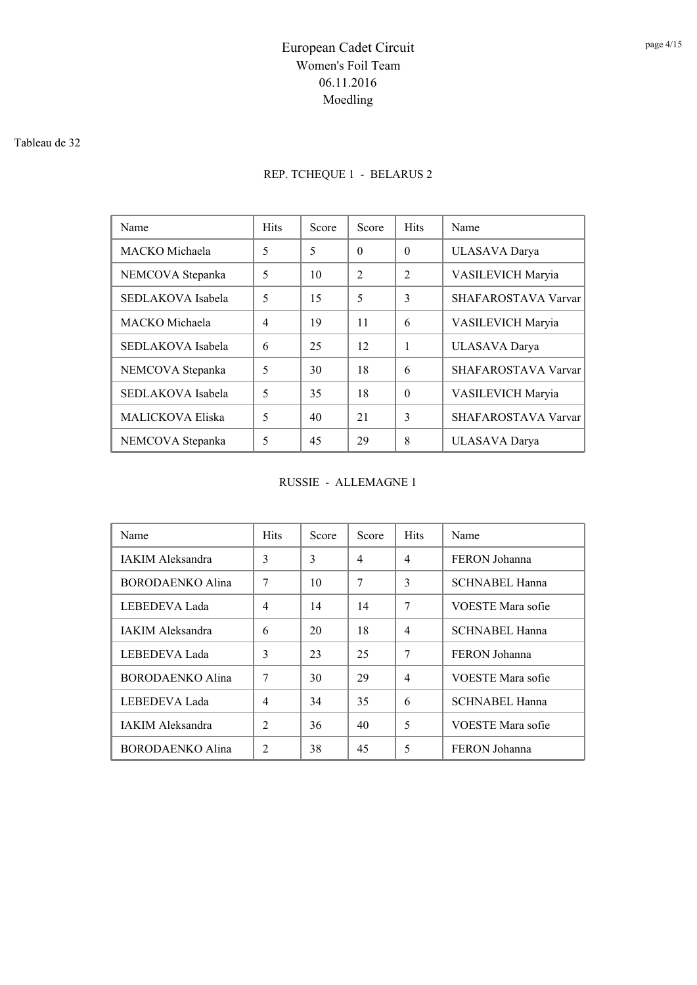#### Tableau de 32

## REP. TCHEQUE 1 - BELARUS 2

| Name                    | <b>Hits</b> | Score | Score          | <b>Hits</b>    | Name                |
|-------------------------|-------------|-------|----------------|----------------|---------------------|
| MACKO Michaela          | 5           | 5     | $\theta$       | $\Omega$       | ULASAVA Darya       |
| NEMCOVA Stepanka        | 5           | 10    | $\mathfrak{D}$ | $\mathfrak{D}$ | VASILEVICH Maryia   |
| SEDLAKOVA Isabela       | 5           | 15    | 5              | 3              | SHAFAROSTAVA Varvar |
| MACKO Michaela          | 4           | 19    | 11             | 6              | VASILEVICH Maryia   |
| SEDLAKOVA Isabela       | 6           | 25    | 12             | 1              | ULASAVA Darya       |
| NEMCOVA Stepanka        | 5           | 30    | 18             | 6              | SHAFAROSTAVA Varvar |
| SEDLAKOVA Isabela       | 5           | 35    | 18             | $\Omega$       | VASILEVICH Maryia   |
| <b>MALICKOVA Eliska</b> | 5           | 40    | 21             | 3              | SHAFAROSTAVA Varvar |
| NEMCOVA Stepanka        | 5           | 45    | 29             | 8              | ULASAVA Darya       |

RUSSIE - ALLEMAGNE 1

| Name                    | <b>Hits</b>    | Score | Score | <b>Hits</b>    | Name                  |
|-------------------------|----------------|-------|-------|----------------|-----------------------|
| <b>IAKIM Aleksandra</b> | 3              | 3     | 4     | $\overline{4}$ | FERON Johanna         |
| BORODAENKO Alina        | 7              | 10    | 7     | 3              | <b>SCHNABEL Hanna</b> |
| LEBEDEVA Lada           | $\overline{4}$ | 14    | 14    | 7              | VOESTE Mara sofie     |
| <b>IAKIM Aleksandra</b> | 6              | 20    | 18    | $\overline{4}$ | <b>SCHNABEL Hanna</b> |
| LEBEDEVA Lada           | 3              | 23    | 25    | 7              | FERON Johanna         |
| BORODAENKO Alina        | 7              | 30    | 29    | $\overline{4}$ | VOESTE Mara sofie     |
| LEBEDEVA Lada           | $\overline{4}$ | 34    | 35    | 6              | SCHNABEL Hanna        |
| <b>IAKIM Aleksandra</b> | $\mathfrak{D}$ | 36    | 40    | 5              | VOESTE Mara sofie     |
| BORODAENKO Alina        | $\overline{c}$ | 38    | 45    | 5              | FERON Johanna         |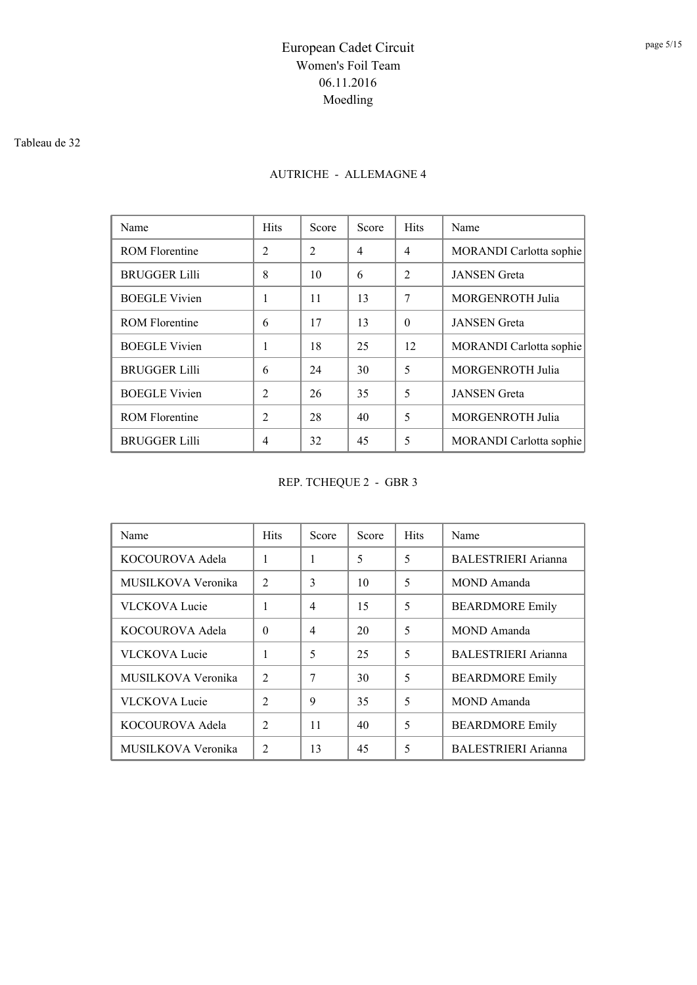#### Tableau de 32

## AUTRICHE - ALLEMAGNE 4

| Name                  | <b>Hits</b>    | Score          | Score          | <b>Hits</b>    | Name                    |
|-----------------------|----------------|----------------|----------------|----------------|-------------------------|
| <b>ROM Florentine</b> | $\overline{2}$ | $\mathfrak{D}$ | $\overline{4}$ | 4              | MORANDI Carlotta sophie |
| <b>BRUGGER Lilli</b>  | 8              | 10             | 6              | $\mathfrak{D}$ | <b>JANSEN</b> Greta     |
| <b>BOEGLE Vivien</b>  | 1              | 11             | 13             | 7              | <b>MORGENROTH Julia</b> |
| <b>ROM Florentine</b> | 6              | 17             | 13             | $\Omega$       | <b>JANSEN</b> Greta     |
| <b>BOEGLE Vivien</b>  | 1              | 18             | 25             | 12             | MORANDI Carlotta sophie |
| <b>BRUGGER Lilli</b>  | 6              | 24             | 30             | 5              | <b>MORGENROTH Julia</b> |
| <b>BOEGLE Vivien</b>  | $\mathfrak{D}$ | 26             | 35             | 5              | <b>JANSEN</b> Greta     |
| <b>ROM Florentine</b> | $\overline{c}$ | 28             | 40             | 5              | <b>MORGENROTH Julia</b> |
| <b>BRUGGER Lilli</b>  | 4              | 32             | 45             | 5              | MORANDI Carlotta sophie |

REP. TCHEQUE 2 - GBR 3

| Name                 | <b>Hits</b>                   | Score | Score | <b>Hits</b> | Name                       |
|----------------------|-------------------------------|-------|-------|-------------|----------------------------|
| KOCOUROVA Adela      | 1                             |       | 5     | 5           | BALESTRIERI Arianna        |
| MUSILKOVA Veronika   | 2                             | 3     | 10    | 5           | MOND Amanda                |
| <b>VLCKOVA Lucie</b> | 1                             | 4     | 15    | 5           | <b>BEARDMORE Emily</b>     |
| KOCOUROVA Adela      | $\Omega$                      | 4     | 20    | 5           | MOND Amanda                |
| <b>VLCKOVA</b> Lucie | 1                             | 5     | 25    | 5           | BALESTRIERI Arianna        |
| MUSILKOVA Veronika   | $\mathfrak{D}_{\mathfrak{p}}$ | 7     | 30    | 5           | <b>BEARDMORE Emily</b>     |
| <b>VLCKOVA Lucie</b> | $\mathfrak{D}$                | 9     | 35    | 5           | MOND Amanda                |
| KOCOUROVA Adela      | $\mathfrak{D}$                | 11    | 40    | 5           | <b>BEARDMORE Emily</b>     |
| MUSILKOVA Veronika   | $\overline{2}$                | 13    | 45    | 5           | <b>BALESTRIERI Arianna</b> |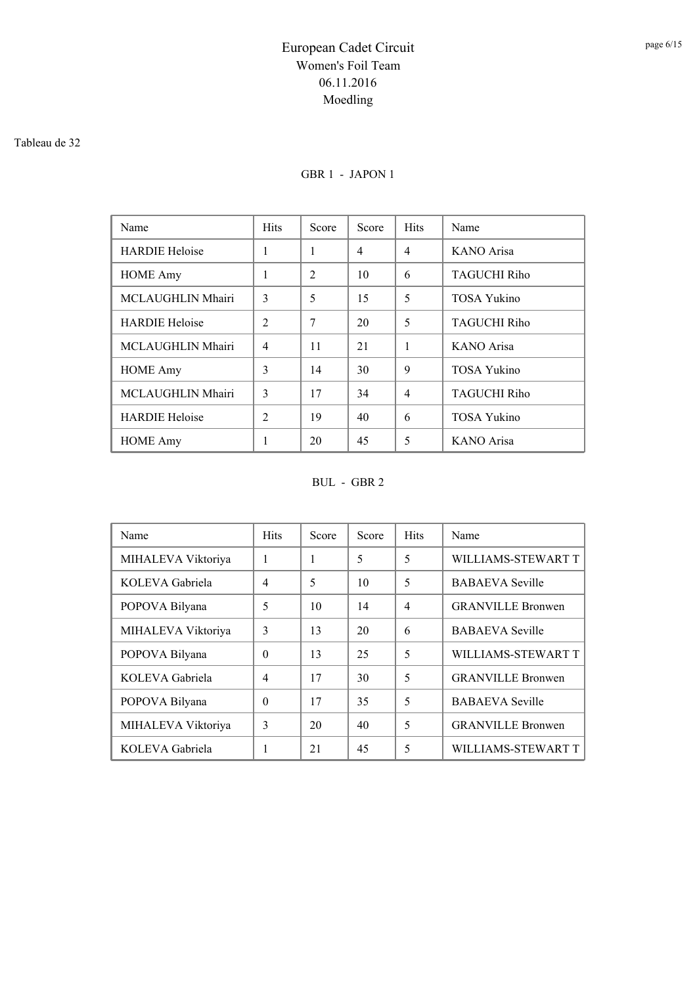#### Tableau de 32

### GBR 1 - JAPON 1

| Name                  | <b>Hits</b>    | Score | Score | <b>Hits</b>    | Name                |
|-----------------------|----------------|-------|-------|----------------|---------------------|
| <b>HARDIE Heloise</b> | 1              | 1     | 4     | 4              | KANO Arisa          |
| <b>HOME</b> Amy       | 1              | 2     | 10    | 6              | <b>TAGUCHI Riho</b> |
| MCLAUGHLIN Mhairi     | $\mathcal{E}$  | 5     | 15    | 5              | TOSA Yukino         |
| <b>HARDIE</b> Heloise | $\mathfrak{D}$ | 7     | 20    | 5              | <b>TAGUCHI Riho</b> |
| MCLAUGHLIN Mhairi     | 4              | 11    | 21    | 1              | <b>KANO</b> Arisa   |
| <b>HOME</b> Amy       | 3              | 14    | 30    | 9              | TOSA Yukino         |
| MCLAUGHLIN Mhairi     | 3              | 17    | 34    | $\overline{4}$ | <b>TAGUCHI Riho</b> |
| <b>HARDIE Heloise</b> | $\overline{c}$ | 19    | 40    | 6              | <b>TOSA Yukino</b>  |
| <b>HOME</b> Amy       | 1              | 20    | 45    | 5              | <b>KANO</b> Arisa   |

### BUL - GBR 2

| Name               | <b>Hits</b>    | Score | Score | <b>Hits</b>    | Name                     |
|--------------------|----------------|-------|-------|----------------|--------------------------|
| MIHALEVA Viktoriya | 1              | 1     | 5     | 5              | WILLIAMS-STEWART T       |
| KOLEVA Gabriela    | $\overline{4}$ | 5     | 10    | 5              | <b>BABAEVA</b> Seville   |
| POPOVA Bilyana     | 5              | 10    | 14    | $\overline{4}$ | <b>GRANVILLE Bronwen</b> |
| MIHALEVA Viktoriya | 3              | 13    | 20    | 6              | <b>BABAEVA</b> Seville   |
| POPOVA Bilyana     | $\theta$       | 13    | 25    | 5              | WILLIAMS-STEWART T       |
| KOLEVA Gabriela    | $\overline{4}$ | 17    | 30    | 5              | <b>GRANVILLE Bronwen</b> |
| POPOVA Bilyana     | $\theta$       | 17    | 35    | 5              | <b>BABAEVA</b> Seville   |
| MIHALEVA Viktoriya | 3              | 20    | 40    | 5              | <b>GRANVILLE Bronwen</b> |
| KOLEVA Gabriela    | 1              | 21    | 45    | 5              | WILLIAMS-STEWART T       |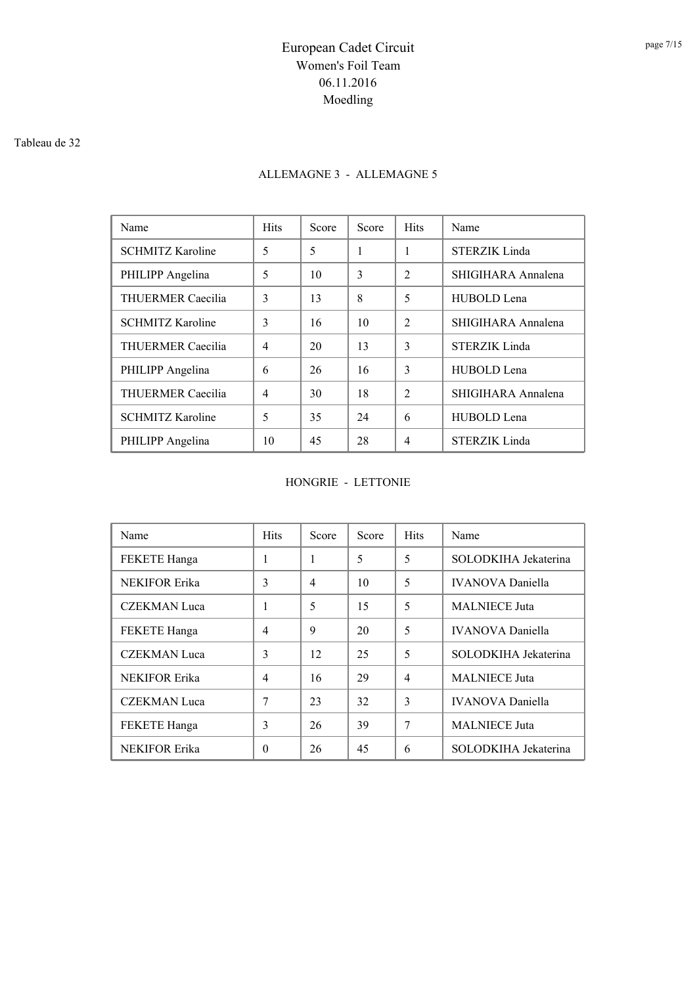#### Tableau de 32

## ALLEMAGNE 3 - ALLEMAGNE 5

| Name                    | <b>Hits</b> | Score | Score | <b>Hits</b>    | Name                 |
|-------------------------|-------------|-------|-------|----------------|----------------------|
| <b>SCHMITZ Karoline</b> | 5           | 5     | 1     | 1              | STERZIK Linda        |
| PHILIPP Angelina        | 5           | 10    | 3     | $\mathfrak{D}$ | SHIGIHARA Annalena   |
| THUERMER Caecilia       | 3           | 13    | 8     | 5              | HUBOLD Lena          |
| <b>SCHMITZ Karoline</b> | 3           | 16    | 10    | $\mathcal{L}$  | SHIGIHARA Annalena   |
| THUERMER Caecilia       | 4           | 20    | 13    | $\mathcal{E}$  | <b>STERZIK Linda</b> |
| PHILIPP Angelina        | 6           | 26    | 16    | $\mathcal{E}$  | HUBOLD Lena          |
| THUERMER Caecilia       | 4           | 30    | 18    | $\mathcal{L}$  | SHIGIHARA Annalena   |
| <b>SCHMITZ Karoline</b> | 5           | 35    | 24    | 6              | HUBOLD Lena          |
| PHILIPP Angelina        | 10          | 45    | 28    | $\overline{4}$ | <b>STERZIK Linda</b> |

#### HONGRIE - LETTONIE

| Name                 | <b>Hits</b>    | Score                    | Score | <b>Hits</b>              | Name                    |
|----------------------|----------------|--------------------------|-------|--------------------------|-------------------------|
| <b>FEKETE Hanga</b>  | 1              | 1                        | 5     | 5                        | SOLODKIHA Jekaterina    |
| <b>NEKIFOR Erika</b> | 3              | $\overline{\mathcal{A}}$ | 10    | 5                        | <b>IVANOVA</b> Daniella |
| <b>CZEKMAN Luca</b>  | 1              | 5                        | 15    | 5                        | <b>MALNIECE</b> Juta    |
| FEKETE Hanga         | $\overline{4}$ | 9                        | 20    | 5                        | <b>IVANOVA</b> Daniella |
| <b>CZEKMAN Luca</b>  | 3              | 12                       | 25    | 5                        | SOLODKIHA Jekaterina    |
| <b>NEKIFOR Erika</b> | $\overline{4}$ | 16                       | 29    | $\overline{\mathcal{A}}$ | <b>MALNIECE</b> Juta    |
| <b>CZEKMAN</b> Luca  | 7              | 23                       | 32    | $\mathbf{3}$             | <b>IVANOVA</b> Daniella |
| <b>FEKETE Hanga</b>  | 3              | 26                       | 39    | 7                        | <b>MALNIECE</b> Juta    |
| <b>NEKIFOR Erika</b> | $\theta$       | 26                       | 45    | 6                        | SOLODKIHA Jekaterina    |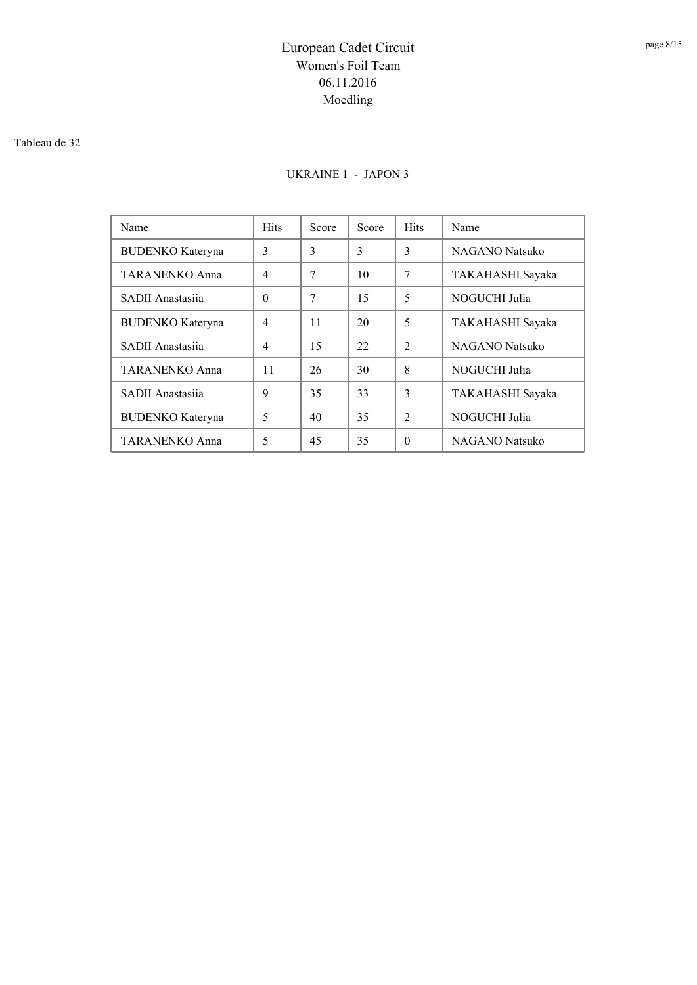#### Tableau de 32

### UKRAINE 1 - JAPON 3

| Name                    | <b>Hits</b>    | Score | Score | <b>Hits</b>    | Name                  |
|-------------------------|----------------|-------|-------|----------------|-----------------------|
| <b>BUDENKO</b> Kateryna | 3              | 3     | 3     | 3              | <b>NAGANO</b> Natsuko |
| <b>TARANENKO Anna</b>   | $\overline{4}$ | 7     | 10    | 7              | TAKAHASHI Sayaka      |
| SADII Anastasiia        | $\theta$       | 7     | 15    | 5              | NOGUCHI Julia         |
| <b>BUDENKO</b> Kateryna | $\overline{4}$ | 11    | 20    | 5              | TAKAHASHI Sayaka      |
| SADII Anastasiia        | 4              | 15    | 22    | $\mathfrak{D}$ | <b>NAGANO</b> Natsuko |
| <b>TARANENKO Anna</b>   | 11             | 26    | 30    | 8              | NOGUCHI Julia         |
| SADII Anastasiia        | 9              | 35    | 33    | $\mathcal{E}$  | TAKAHASHI Sayaka      |
| <b>BUDENKO</b> Kateryna | 5              | 40    | 35    | $\mathfrak{D}$ | NOGUCHI Julia         |
| <b>TARANENKO Anna</b>   | 5              | 45    | 35    | $\Omega$       | <b>NAGANO</b> Natsuko |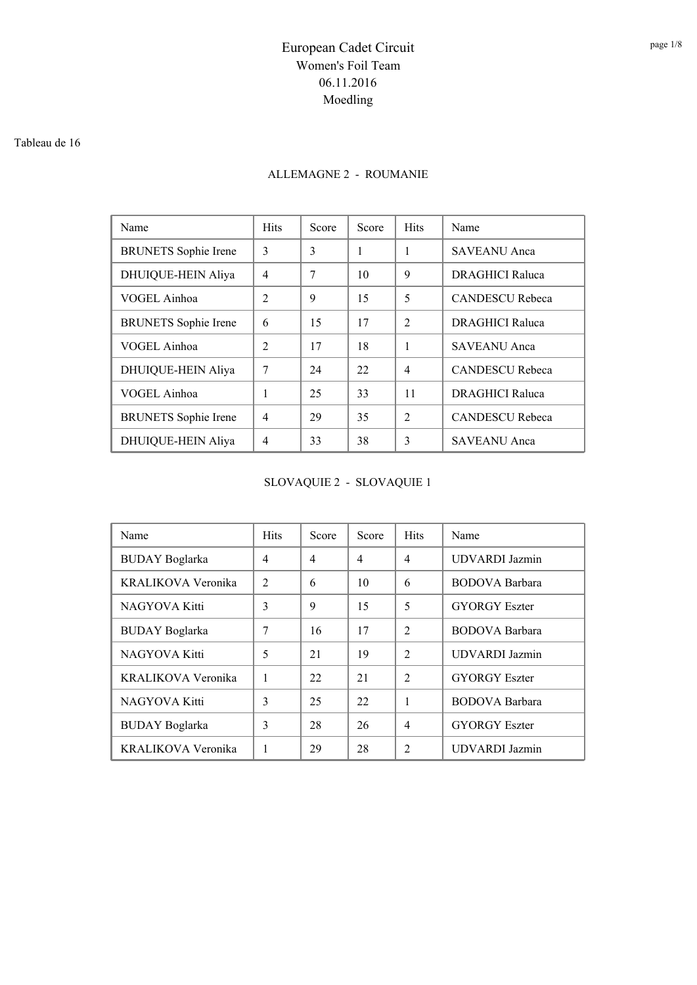#### Tableau de 16

### ALLEMAGNE 2 - ROUMANIE

| Name                        | <b>Hits</b>    | Score | Score | <b>Hits</b>    | Name                   |
|-----------------------------|----------------|-------|-------|----------------|------------------------|
| <b>BRUNETS</b> Sophie Irene | 3              | 3     | 1     | 1              | SAVEANU Anca           |
| DHUIQUE-HEIN Aliya          | $\overline{4}$ | 7     | 10    | 9              | <b>DRAGHICI Raluca</b> |
| VOGEL Ainhoa                | $\mathfrak{D}$ | 9     | 15    | 5              | <b>CANDESCU Rebeca</b> |
| <b>BRUNETS</b> Sophie Irene | 6              | 15    | 17    | $\mathcal{L}$  | <b>DRAGHICI Raluca</b> |
| VOGEL Ainhoa                | $\mathfrak{D}$ | 17    | 18    | 1              | SAVEANU Anca           |
| DHUIQUE-HEIN Aliya          | 7              | 24    | 22    | $\overline{4}$ | <b>CANDESCU Rebeca</b> |
| VOGEL Ainhoa                | 1              | 25    | 33    | 11             | <b>DRAGHICI Raluca</b> |
| <b>BRUNETS</b> Sophie Irene | $\overline{4}$ | 29    | 35    | $\mathcal{L}$  | <b>CANDESCU Rebeca</b> |
| DHUIQUE-HEIN Aliya          | 4              | 33    | 38    | 3              | <b>SAVEANU</b> Anca    |

SLOVAQUIE 2 - SLOVAQUIE 1

| Name                  | <b>Hits</b>    | Score          | Score          | <b>Hits</b>    | Name                  |
|-----------------------|----------------|----------------|----------------|----------------|-----------------------|
| <b>BUDAY</b> Boglarka | $\overline{4}$ | $\overline{4}$ | $\overline{4}$ | $\overline{4}$ | <b>UDVARDI</b> Jazmin |
| KRALIKOVA Veronika    | $\overline{2}$ | 6              | 10             | 6              | <b>BODOVA</b> Barbara |
| NAGYOVA Kitti         | 3              | 9              | 15             | 5              | <b>GYORGY</b> Eszter  |
| <b>BUDAY Boglarka</b> | 7              | 16             | 17             | $\overline{2}$ | <b>BODOVA</b> Barbara |
| NAGYOVA Kitti         | 5              | 21             | 19             | $\mathfrak{D}$ | <b>UDVARDI</b> Jazmin |
| KRALIKOVA Veronika    | 1              | 22             | 21             | $\mathcal{L}$  | <b>GYORGY Eszter</b>  |
| NAGYOVA Kitti         | 3              | 25             | 22             | 1              | <b>BODOVA</b> Barbara |
| <b>BUDAY</b> Boglarka | 3              | 28             | 26             | $\overline{4}$ | <b>GYORGY Eszter</b>  |
| KRALIKOVA Veronika    |                | 29             | 28             | $\overline{c}$ | <b>UDVARDI</b> Jazmin |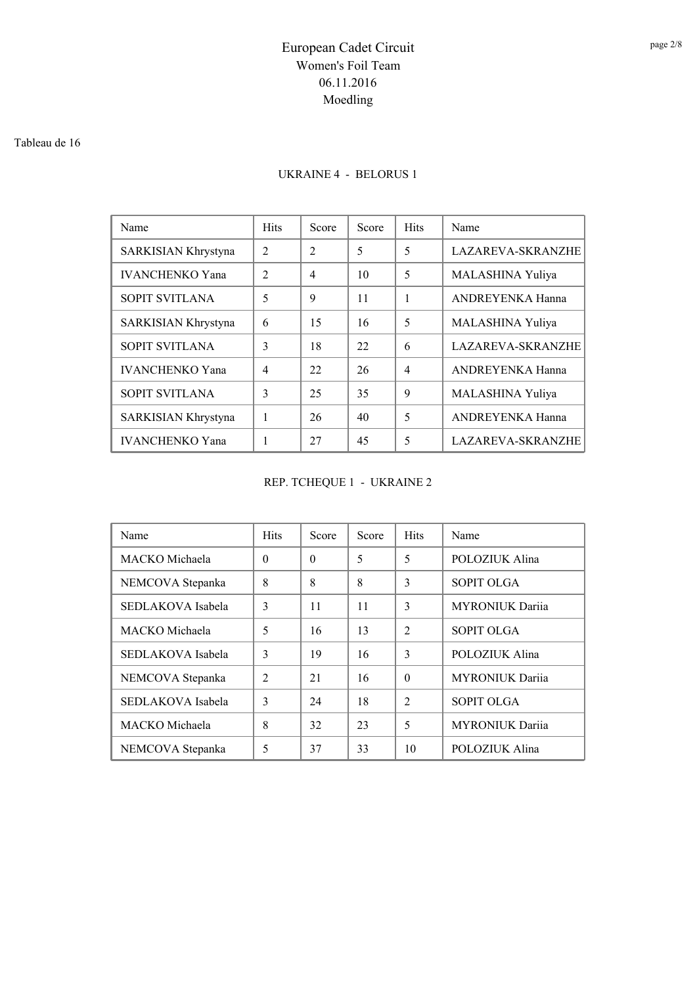#### Tableau de 16

### UKRAINE 4 - BELORUS 1

| Name                   | <b>Hits</b>                   | Score                       | Score | <b>Hits</b>    | Name                     |
|------------------------|-------------------------------|-----------------------------|-------|----------------|--------------------------|
| SARKISIAN Khrystyna    | $\overline{2}$                | $\mathcal{D}_{\mathcal{L}}$ | 5     | 5              | <b>LAZAREVA-SKRANZHE</b> |
| <b>IVANCHENKO Yana</b> | $\mathfrak{D}_{\mathfrak{p}}$ | $\overline{4}$              | 10    | 5              | MALASHINA Yuliya         |
| SOPIT SVITLANA         | 5                             | 9                           | 11    | 1              | <b>ANDREYENKA Hanna</b>  |
| SARKISIAN Khrystyna    | 6                             | 15                          | 16    | 5              | MALASHINA Yuliya         |
| <b>SOPIT SVITLANA</b>  | 3                             | 18                          | 22    | 6              | <b>LAZAREVA-SKRANZHE</b> |
| <b>IVANCHENKO Yana</b> | 4                             | 22                          | 26    | $\overline{4}$ | <b>ANDREYENKA Hanna</b>  |
| SOPIT SVITLANA         | 3                             | 25                          | 35    | 9              | MALASHINA Yuliya         |
| SARKISIAN Khrystyna    |                               | 26                          | 40    | 5              | ANDREYENKA Hanna         |
| <b>IVANCHENKO Yana</b> | 1                             | 27                          | 45    | 5              | <b>LAZAREVA-SKRANZHE</b> |

## REP. TCHEQUE 1 - UKRAINE 2

| Name              | <b>Hits</b>    | Score    | Score | <b>Hits</b>    | Name                   |
|-------------------|----------------|----------|-------|----------------|------------------------|
| MACKO Michaela    | $\theta$       | $\Omega$ | 5     | 5              | POLOZIUK Alina         |
| NEMCOVA Stepanka  | 8              | 8        | 8     | 3              | <b>SOPIT OLGA</b>      |
| SEDLAKOVA Isabela | 3              | 11       | 11    | 3              | <b>MYRONIUK Darija</b> |
| MACKO Michaela    | 5              | 16       | 13    | $\mathfrak{D}$ | <b>SOPIT OLGA</b>      |
| SEDLAKOVA Isabela | 3              | 19       | 16    | $\mathcal{E}$  | POLOZIUK Alina         |
| NEMCOVA Stepanka  | $\mathfrak{D}$ | 21       | 16    | $\Omega$       | <b>MYRONIUK Dariia</b> |
| SEDLAKOVA Isabela | 3              | 24       | 18    | $\mathfrak{D}$ | <b>SOPIT OLGA</b>      |
| MACKO Michaela    | 8              | 32       | 23    | 5              | <b>MYRONIUK</b> Dariia |
| NEMCOVA Stepanka  | 5              | 37       | 33    | 10             | POLOZIUK Alina         |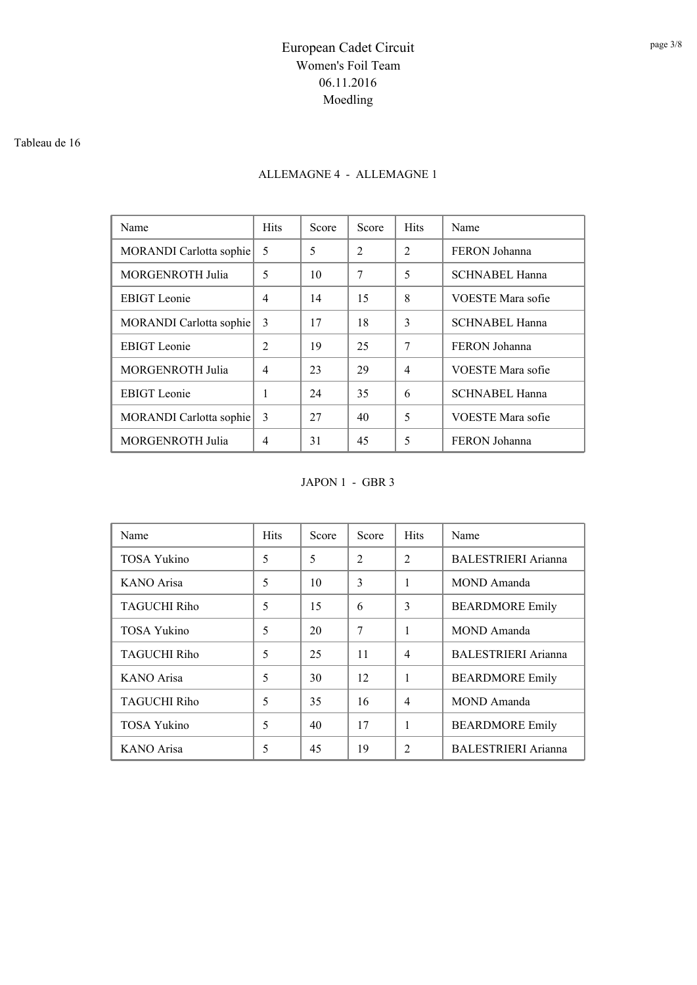#### Tableau de 16

### ALLEMAGNE 4 - ALLEMAGNE 1

| Name                           | <b>Hits</b>   | Score | Score          | <b>Hits</b>    | Name                     |
|--------------------------------|---------------|-------|----------------|----------------|--------------------------|
| <b>MORANDI</b> Carlotta sophie | 5             | 5     | $\overline{2}$ | $\overline{2}$ | FERON Johanna            |
| <b>MORGENROTH Julia</b>        | 5             | 10    | 7              | 5              | <b>SCHNABEL Hanna</b>    |
| <b>EBIGT</b> Leonie            | 4             | 14    | 15             | 8              | VOESTE Mara sofie        |
| MORANDI Carlotta sophie        | 3             | 17    | 18             | 3              | <b>SCHNABEL Hanna</b>    |
| <b>EBIGT</b> Leonie            | 2             | 19    | 25             | 7              | FERON Johanna            |
| <b>MORGENROTH Julia</b>        | 4             | 23    | 29             | $\overline{4}$ | VOESTE Mara sofie        |
| <b>EBIGT</b> Leonie            | 1             | 24    | 35             | 6              | <b>SCHNABEL Hanna</b>    |
| MORANDI Carlotta sophie        | $\mathcal{E}$ | 27    | 40             | 5              | <b>VOESTE Mara sofie</b> |
| <b>MORGENROTH Julia</b>        | 4             | 31    | 45             | 5              | FERON Johanna            |

JAPON 1 - GBR 3

| Name                | <b>Hits</b> | Score | Score          | <b>Hits</b>    | Name                       |
|---------------------|-------------|-------|----------------|----------------|----------------------------|
| <b>TOSA Yukino</b>  | 5           | 5     | $\overline{2}$ | $\overline{2}$ | BALESTRIERI Arianna        |
| KANO Arisa          | 5           | 10    | 3              | 1              | MOND Amanda                |
| <b>TAGUCHI Riho</b> | 5           | 15    | 6              | 3              | <b>BEARDMORE Emily</b>     |
| <b>TOSA Yukino</b>  | 5           | 20    | 7              | 1              | MOND Amanda                |
| <b>TAGUCHI Riho</b> | 5           | 25    | 11             | $\overline{4}$ | BALESTRIERI Arianna        |
| KANO Arisa          | 5           | 30    | 12             | 1              | <b>BEARDMORE Emily</b>     |
| <b>TAGUCHI Riho</b> | 5           | 35    | 16             | $\overline{4}$ | MOND Amanda                |
| <b>TOSA Yukino</b>  | 5           | 40    | 17             | 1              | <b>BEARDMORE Emily</b>     |
| <b>KANO</b> Arisa   | 5           | 45    | 19             | $\mathfrak{D}$ | <b>BALESTRIERI Arianna</b> |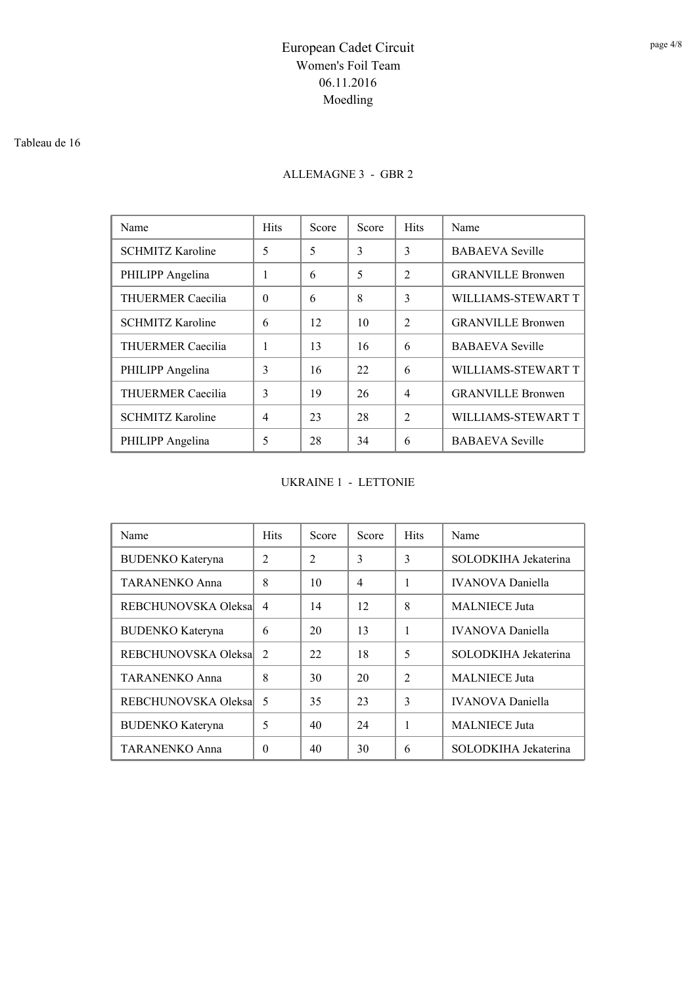#### Tableau de 16

### ALLEMAGNE 3 - GBR 2

| Name                     | <b>Hits</b> | Score | Score | <b>Hits</b>    | Name                     |
|--------------------------|-------------|-------|-------|----------------|--------------------------|
| <b>SCHMITZ Karoline</b>  | 5           | 5     | 3     | 3              | <b>BABAEVA</b> Seville   |
| PHILIPP Angelina         | 1           | 6     | 5     | $\mathfrak{D}$ | <b>GRANVILLE Bronwen</b> |
| <b>THUERMER Caecilia</b> | $\Omega$    | 6     | 8     | 3              | WILLIAMS-STEWART T       |
| <b>SCHMITZ Karoline</b>  | 6           | 12    | 10    | $\mathcal{L}$  | <b>GRANVILLE Bronwen</b> |
| <b>THUERMER Caecilia</b> | 1           | 13    | 16    | 6              | <b>BABAEVA</b> Seville   |
| PHILIPP Angelina         | 3           | 16    | 22    | 6              | WILLIAMS-STEWART T       |
| THUERMER Caecilia        | 3           | 19    | 26    | $\overline{4}$ | <b>GRANVILLE Bronwen</b> |
| <b>SCHMITZ Karoline</b>  | 4           | 23    | 28    | $\mathfrak{D}$ | WILLIAMS-STEWART T       |
| PHILIPP Angelina         | 5           | 28    | 34    | 6              | <b>BABAEVA</b> Seville   |

#### UKRAINE 1 - LETTONIE

| Name                    | <b>Hits</b>    | Score          | Score          | <b>Hits</b>   | Name                    |
|-------------------------|----------------|----------------|----------------|---------------|-------------------------|
| <b>BUDENKO</b> Kateryna | $\overline{2}$ | $\mathfrak{D}$ | 3              | 3             | SOLODKIHA Jekaterina    |
| <b>TARANENKO Anna</b>   | 8              | 10             | $\overline{4}$ | 1             | <b>IVANOVA</b> Daniella |
| REBCHUNOVSKA Oleksal    | $\overline{4}$ | 14             | 12             | 8             | <b>MALNIECE Juta</b>    |
| <b>BUDENKO</b> Kateryna | 6              | 20             | 13             | 1             | <b>IVANOVA</b> Daniella |
| REBCHUNOVSKA Oleksal    | $\mathcal{L}$  | 22             | 18             | 5             | SOLODKIHA Jekaterina    |
| <b>TARANENKO Anna</b>   | 8              | 30             | 20             | $\mathcal{L}$ | <b>MALNIECE</b> Juta    |
| REBCHUNOVSKA Oleksa     | 5              | 35             | 23             | 3             | <b>IVANOVA</b> Daniella |
| <b>BUDENKO Kateryna</b> | 5              | 40             | 24             | 1             | <b>MALNIECE</b> Juta    |
| TARANENKO Anna          | $\theta$       | 40             | 30             | 6             | SOLODKIHA Jekaterina    |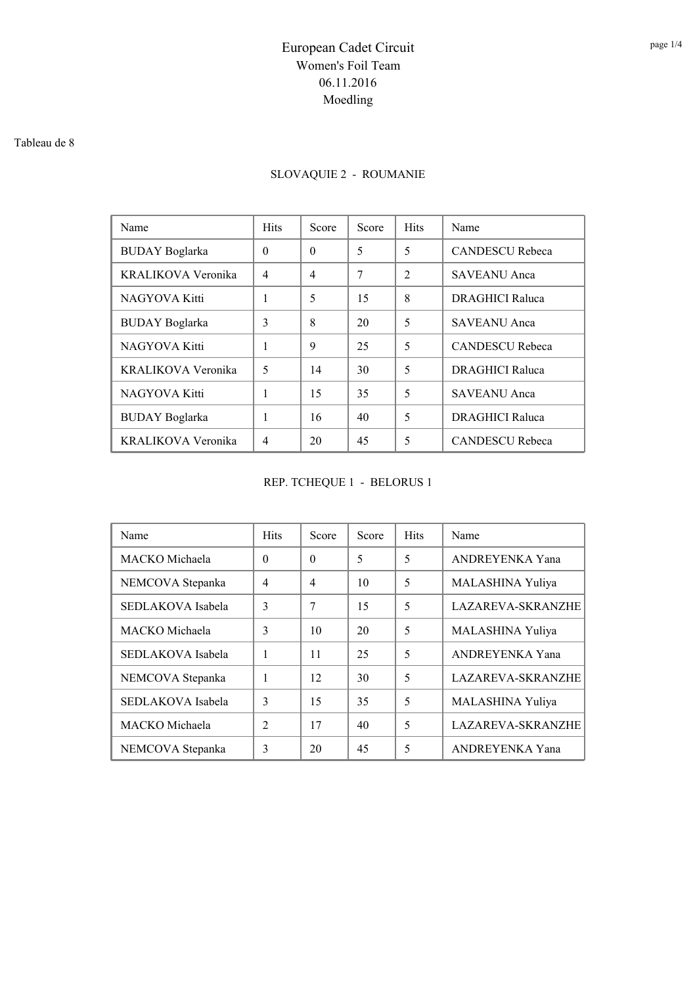#### Tableau de 8

## SLOVAQUIE 2 - ROUMANIE

| Name                  | <b>Hits</b>    | Score    | Score | <b>Hits</b>    | Name                   |
|-----------------------|----------------|----------|-------|----------------|------------------------|
| <b>BUDAY</b> Boglarka | $\theta$       | $\Omega$ | 5     | 5              | <b>CANDESCU Rebeca</b> |
| KRALIKOVA Veronika    | $\overline{4}$ | 4        | 7     | $\mathfrak{D}$ | <b>SAVEANU</b> Anca    |
| NAGYOVA Kitti         | 1              | 5        | 15    | 8              | <b>DRAGHICI Raluca</b> |
| <b>BUDAY</b> Boglarka | 3              | 8        | 20    | 5              | <b>SAVEANU</b> Anca    |
| NAGYOVA Kitti         | 1              | 9        | 25    | 5              | <b>CANDESCU Rebeca</b> |
| KRALIKOVA Veronika    | 5              | 14       | 30    | 5              | <b>DRAGHICI Raluca</b> |
| NAGYOVA Kitti         | 1              | 15       | 35    | 5              | <b>SAVEANU</b> Anca    |
| <b>BUDAY</b> Boglarka | 1              | 16       | 40    | 5              | <b>DRAGHICI Raluca</b> |
| KRALIKOVA Veronika    | $\overline{4}$ | 20       | 45    | 5              | <b>CANDESCU Rebeca</b> |

REP. TCHEQUE 1 - BELORUS 1

| Name              | <b>Hits</b>    | Score          | Score | <b>Hits</b> | Name                     |
|-------------------|----------------|----------------|-------|-------------|--------------------------|
| MACKO Michaela    | $\theta$       | $\Omega$       | 5     | 5           | ANDREYENKA Yana          |
| NEMCOVA Stepanka  | $\overline{4}$ | $\overline{4}$ | 10    | 5           | MALASHINA Yuliya         |
| SEDLAKOVA Isabela | 3              | 7              | 15    | 5           | <b>LAZAREVA-SKRANZHE</b> |
| MACKO Michaela    | 3              | 10             | 20    | 5           | MALASHINA Yuliya         |
| SEDLAKOVA Isabela | 1              | 11             | 25    | 5           | ANDREYENKA Yana          |
| NEMCOVA Stepanka  | 1              | 12             | 30    | 5           | <b>LAZAREVA-SKRANZHE</b> |
| SEDLAKOVA Isabela | 3              | 15             | 35    | 5           | MALASHINA Yuliya         |
| MACKO Michaela    | $\overline{c}$ | 17             | 40    | 5           | LAZAREVA-SKRANZHE        |
| NEMCOVA Stepanka  | 3              | 20             | 45    | 5           | ANDREYENKA Yana          |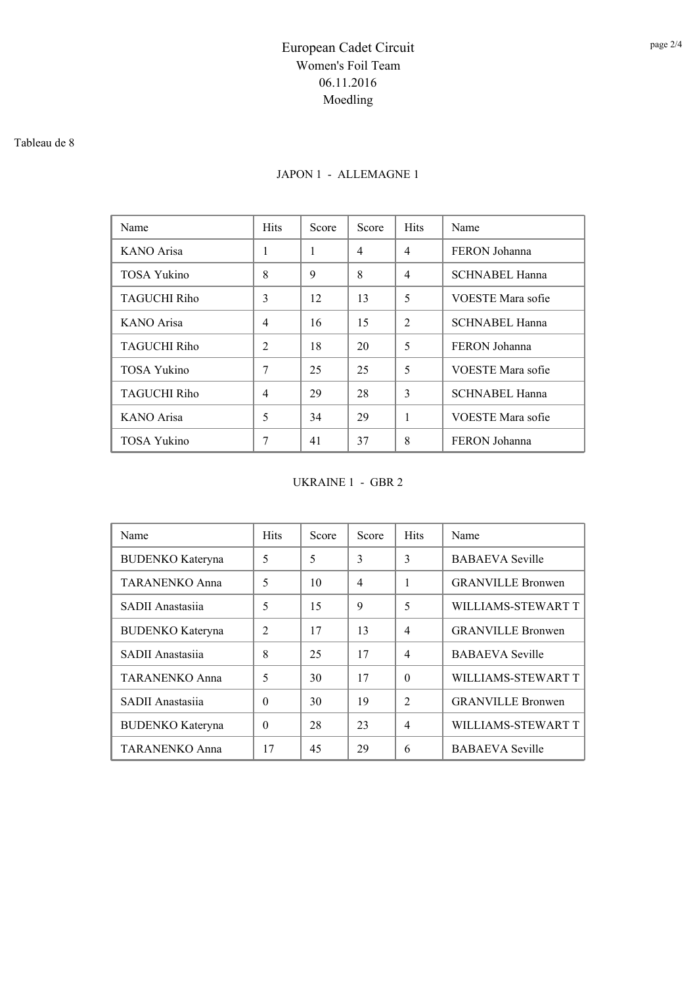#### Tableau de 8

### JAPON 1 - ALLEMAGNE 1

| Name                | <b>Hits</b>    | Score | Score | <b>Hits</b>    | Name                  |
|---------------------|----------------|-------|-------|----------------|-----------------------|
| KANO Arisa          | 1              | 1     | 4     | $\overline{4}$ | FERON Johanna         |
| <b>TOSA Yukino</b>  | 8              | 9     | 8     | $\overline{4}$ | SCHNABEL Hanna        |
| <b>TAGUCHI Riho</b> | 3              | 12    | 13    | 5              | VOESTE Mara sofie     |
| KANO Arisa          | 4              | 16    | 15    | $\mathcal{L}$  | <b>SCHNABEL Hanna</b> |
| <b>TAGUCHI Riho</b> | $\overline{2}$ | 18    | 20    | 5              | FERON Johanna         |
| <b>TOSA Yukino</b>  | 7              | 25    | 25    | 5              | VOESTE Mara sofie     |
| <b>TAGUCHI Riho</b> | 4              | 29    | 28    | 3              | <b>SCHNABEL Hanna</b> |
| KANO Arisa          | 5              | 34    | 29    | 1              | VOESTE Mara sofie     |
| <b>TOSA Yukino</b>  | 7              | 41    | 37    | 8              | FERON Johanna         |

UKRAINE 1 - GBR 2

| Name                    | <b>Hits</b>    | Score | Score          | <b>Hits</b>   | Name                     |
|-------------------------|----------------|-------|----------------|---------------|--------------------------|
| <b>BUDENKO</b> Kateryna | 5              | 5     | 3              | 3             | <b>BABAEVA</b> Seville   |
| <b>TARANENKO Anna</b>   | 5              | 10    | $\overline{4}$ | 1             | <b>GRANVILLE Bronwen</b> |
| SADII Anastasiia        | 5              | 15    | 9              | 5             | WILLIAMS-STEWART T       |
| <b>BUDENKO</b> Kateryna | $\mathfrak{D}$ | 17    | 13             | 4             | <b>GRANVILLE Bronwen</b> |
| SADII Anastasija        | 8              | 25    | 17             | 4             | <b>BABAEVA</b> Seville   |
| <b>TARANENKO Anna</b>   | 5              | 30    | 17             | $\Omega$      | WILLIAMS-STEWART T       |
| SADII Anastasiia        | $\Omega$       | 30    | 19             | $\mathcal{L}$ | <b>GRANVILLE Bronwen</b> |
| <b>BUDENKO</b> Kateryna | $\Omega$       | 28    | 23             | 4             | WILLIAMS-STEWART T       |
| <b>TARANENKO Anna</b>   | 17             | 45    | 29             | 6             | <b>BABAEVA</b> Seville   |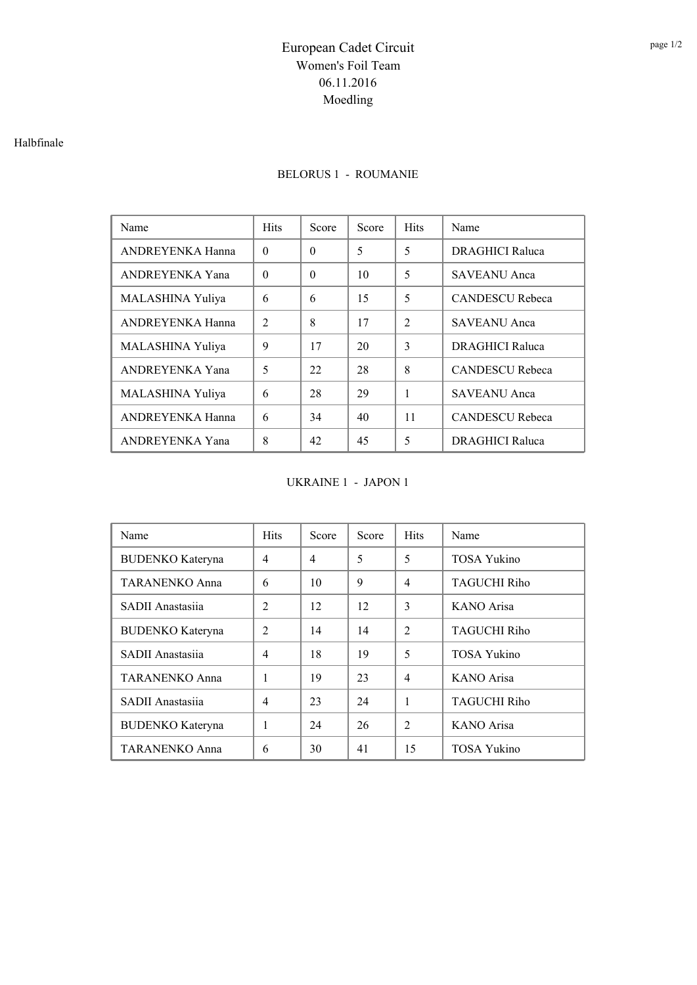#### Halbfinale

### BELORUS 1 - ROUMANIE

| Name             | <b>Hits</b>    | Score    | Score | <b>Hits</b>    | Name                   |
|------------------|----------------|----------|-------|----------------|------------------------|
| ANDREYENKA Hanna | $\Omega$       | $\Omega$ | 5     | 5              | <b>DRAGHICI Raluca</b> |
| ANDREYENKA Yana  | $\theta$       | $\Omega$ | 10    | 5              | <b>SAVEANU</b> Anca    |
| MALASHINA Yuliya | 6              | 6        | 15    | 5              | <b>CANDESCU Rebeca</b> |
| ANDREYENKA Hanna | $\mathfrak{D}$ | 8        | 17    | $\overline{2}$ | <b>SAVEANU</b> Anca    |
| MALASHINA Yuliya | 9              | 17       | 20    | $\mathcal{E}$  | <b>DRAGHICI Raluca</b> |
| ANDREYENKA Yana  | 5              | 22       | 28    | 8              | <b>CANDESCU Rebeca</b> |
| MALASHINA Yuliya | 6              | 28       | 29    | 1              | <b>SAVEANU Anca</b>    |
| ANDREYENKA Hanna | 6              | 34       | 40    | 11             | <b>CANDESCU Rebeca</b> |
| ANDREYENKA Yana  | 8              | 42       | 45    | 5              | <b>DRAGHICI Raluca</b> |

UKRAINE 1 - JAPON 1

| Name                    | <b>Hits</b>    | Score          | Score | <b>Hits</b>    | Name                |
|-------------------------|----------------|----------------|-------|----------------|---------------------|
| <b>BUDENKO</b> Kateryna | $\overline{4}$ | $\overline{4}$ | 5     | 5              | <b>TOSA Yukino</b>  |
| TARANENKO Anna          | 6              | 10             | 9     | $\overline{4}$ | <b>TAGUCHI Riho</b> |
| SADII Anastasiia        | $\overline{2}$ | 12             | 12    | 3              | KANO Arisa          |
| <b>BUDENKO</b> Kateryna | $\mathfrak{D}$ | 14             | 14    | $\mathcal{L}$  | <b>TAGUCHI Riho</b> |
| SADII Anastasiia        | $\overline{4}$ | 18             | 19    | 5              | <b>TOSA Yukino</b>  |
| <b>TARANENKO Anna</b>   | 1              | 19             | 23    | $\overline{4}$ | <b>KANO</b> Arisa   |
| SADII Anastasiia        | $\overline{4}$ | 23             | 24    | 1              | <b>TAGUCHI Riho</b> |
| <b>BUDENKO</b> Kateryna | 1              | 24             | 26    | 2              | <b>KANO</b> Arisa   |
| <b>TARANENKO Anna</b>   | 6              | 30             | 41    | 15             | <b>TOSA Yukino</b>  |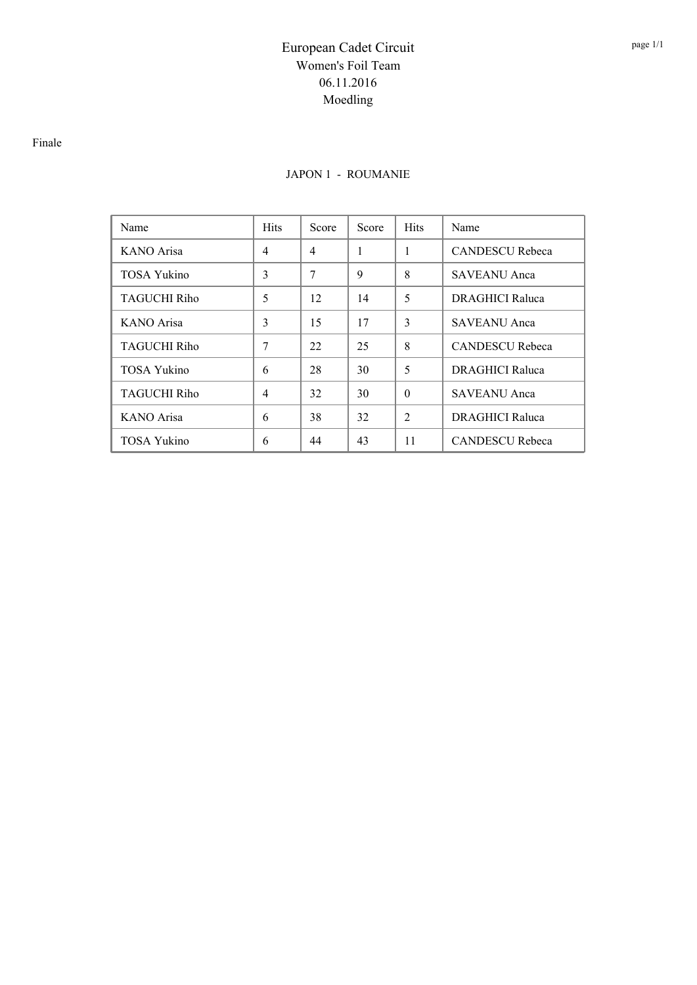#### Finale

#### JAPON 1 - ROUMANIE

| Name                | <b>Hits</b>    | Score | Score | <b>Hits</b>    | Name                   |
|---------------------|----------------|-------|-------|----------------|------------------------|
| KANO Arisa          | $\overline{4}$ | 4     | 1     | 1              | <b>CANDESCU Rebeca</b> |
| <b>TOSA Yukino</b>  | 3              | 7     | 9     | 8              | SAVEANU Anca           |
| <b>TAGUCHI Riho</b> | 5              | 12    | 14    | 5              | <b>DRAGHICI Raluca</b> |
| KANO Arisa          | 3              | 15    | 17    | 3              | <b>SAVEANU</b> Anca    |
| TAGUCHI Riho        | 7              | 22    | 25    | 8              | <b>CANDESCU Rebeca</b> |
| <b>TOSA Yukino</b>  | 6              | 28    | 30    | 5              | <b>DRAGHICI Raluca</b> |
| <b>TAGUCHI Riho</b> | $\overline{4}$ | 32    | 30    | $\Omega$       | <b>SAVEANU</b> Anca    |
| KANO Arisa          | 6              | 38    | 32    | $\overline{2}$ | <b>DRAGHICI Raluca</b> |
| <b>TOSA Yukino</b>  | 6              | 44    | 43    | 11             | <b>CANDESCU Rebeca</b> |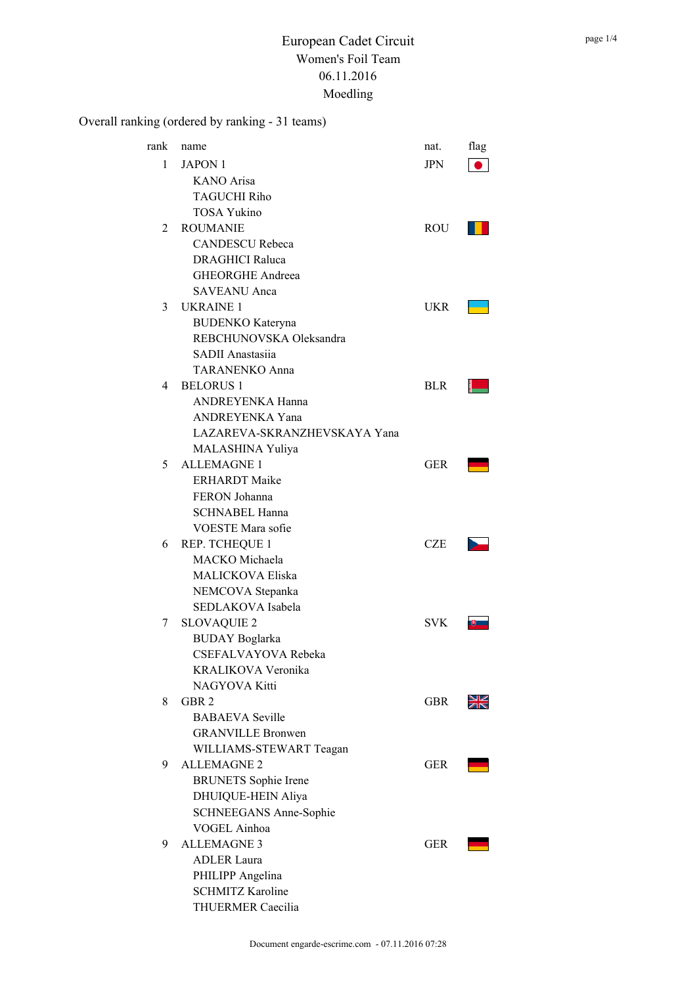## Overall ranking (ordered by ranking - 31 teams)

| rank | name                                  | nat.       | flag |
|------|---------------------------------------|------------|------|
| 1    | <b>JAPON 1</b>                        | JPN        |      |
|      | <b>KANO</b> Arisa                     |            |      |
|      | <b>TAGUCHI Riho</b>                   |            |      |
|      | <b>TOSA Yukino</b>                    |            |      |
| 2    | <b>ROUMANIE</b>                       | ROU        |      |
|      | <b>CANDESCU Rebeca</b>                |            |      |
|      | <b>DRAGHICI Raluca</b>                |            |      |
|      | <b>GHEORGHE Andreea</b>               |            |      |
|      | <b>SAVEANU</b> Anca                   |            |      |
| 3    | <b>UKRAINE 1</b>                      | UKR        |      |
|      | <b>BUDENKO</b> Kateryna               |            |      |
|      | REBCHUNOVSKA Oleksandra               |            |      |
|      | SADII Anastasiia                      |            |      |
|      | <b>TARANENKO Anna</b>                 |            |      |
| 4    | <b>BELORUS 1</b>                      | <b>BLR</b> |      |
|      | ANDREYENKA Hanna                      |            |      |
|      | <b>ANDREYENKA Yana</b>                |            |      |
|      | LAZAREVA-SKRANZHEVSKAYA Yana          |            |      |
|      | MALASHINA Yuliya                      |            |      |
| 5    | <b>ALLEMAGNE 1</b>                    | GER        |      |
|      | <b>ERHARDT</b> Maike                  |            |      |
|      | FERON Johanna                         |            |      |
|      | <b>SCHNABEL Hanna</b>                 |            |      |
|      | VOESTE Mara sofie                     |            |      |
| 6    | REP. TCHEQUE 1                        | <b>CZE</b> |      |
|      | MACKO Michaela                        |            |      |
|      | MALICKOVA Eliska                      |            |      |
|      |                                       |            |      |
|      | NEMCOVA Stepanka<br>SEDLAKOVA Isabela |            |      |
|      |                                       |            |      |
| 7    | <b>SLOVAQUIE 2</b>                    | SVK        |      |
|      | <b>BUDAY</b> Boglarka                 |            |      |
|      | CSEFALVAYOVA Rebeka                   |            |      |
|      | KRALIKOVA Veronika                    |            |      |
|      | NAGYOVA Kitti                         |            |      |
| 8    | GBR <sub>2</sub>                      | GBR        |      |
|      | <b>BABAEVA Seville</b>                |            |      |
|      | <b>GRANVILLE Bronwen</b>              |            |      |
|      | WILLIAMS-STEWART Teagan               |            |      |
| 9    | <b>ALLEMAGNE 2</b>                    | <b>GER</b> |      |
|      | <b>BRUNETS</b> Sophie Irene           |            |      |
|      | DHUIQUE-HEIN Aliya                    |            |      |
|      | <b>SCHNEEGANS Anne-Sophie</b>         |            |      |
|      | VOGEL Ainhoa                          |            |      |
| 9    | <b>ALLEMAGNE 3</b>                    | GER        |      |
|      | <b>ADLER Laura</b>                    |            |      |
|      | PHILIPP Angelina                      |            |      |
|      | <b>SCHMITZ Karoline</b>               |            |      |
|      | THUERMER Caecilia                     |            |      |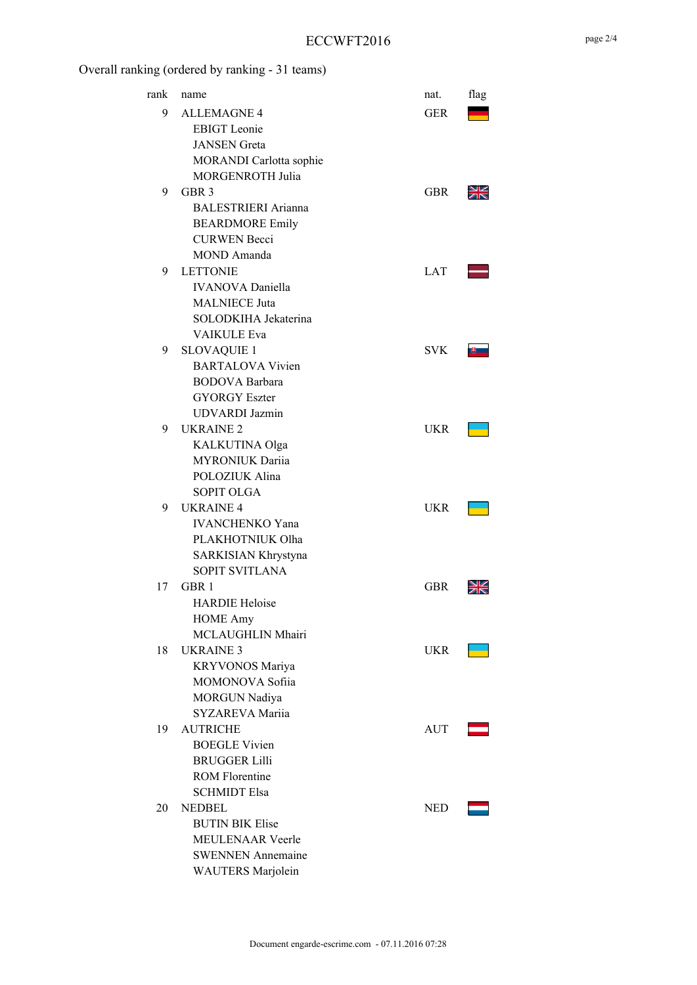### ECCWFT2016

## Overall ranking (ordered by ranking - 31 teams)

| rank | name                       | nat.       | flag |
|------|----------------------------|------------|------|
| 9    | <b>ALLEMAGNE 4</b>         | <b>GER</b> |      |
|      | <b>EBIGT</b> Leonie        |            |      |
|      | <b>JANSEN</b> Greta        |            |      |
|      | MORANDI Carlotta sophie    |            |      |
|      | MORGENROTH Julia           |            |      |
| 9    | GBR 3                      | <b>GBR</b> |      |
|      | <b>BALESTRIERI</b> Arianna |            |      |
|      | <b>BEARDMORE Emily</b>     |            |      |
|      | <b>CURWEN Becci</b>        |            |      |
|      | MOND Amanda                |            |      |
| 9    | <b>LETTONIE</b>            | <b>LAT</b> |      |
|      | <b>IVANOVA</b> Daniella    |            |      |
|      | <b>MALNIECE Juta</b>       |            |      |
|      | SOLODKIHA Jekaterina       |            |      |
|      | <b>VAIKULE Eva</b>         |            |      |
| 9    | <b>SLOVAQUIE 1</b>         | <b>SVK</b> |      |
|      | <b>BARTALOVA Vivien</b>    |            |      |
|      | <b>BODOVA</b> Barbara      |            |      |
|      | <b>GYORGY Eszter</b>       |            |      |
|      | <b>UDVARDI</b> Jazmin      |            |      |
| 9    | <b>UKRAINE 2</b>           | UKR        |      |
|      | KALKUTINA Olga             |            |      |
|      | <b>MYRONIUK Dariia</b>     |            |      |
|      | POLOZIUK Alina             |            |      |
|      | <b>SOPIT OLGA</b>          |            |      |
| 9    | <b>UKRAINE 4</b>           | <b>UKR</b> |      |
|      | <b>IVANCHENKO Yana</b>     |            |      |
|      | PLAKHOTNIUK Olha           |            |      |
|      | SARKISIAN Khrystyna        |            |      |
|      | SOPIT SVITLANA             |            |      |
| 17   | GBR 1                      | GBR        |      |
|      | <b>HARDIE Heloise</b>      |            |      |
|      | <b>HOME Amy</b>            |            |      |
|      | MCLAUGHLIN Mhairi          |            |      |
| 18   | <b>UKRAINE 3</b>           | <b>UKR</b> |      |
|      | KRYVONOS Mariya            |            |      |
|      | MOMONOVA Sofiia            |            |      |
|      | <b>MORGUN Nadiya</b>       |            |      |
|      | <b>SYZAREVA Mariia</b>     |            |      |
| 19   | <b>AUTRICHE</b>            | AUT        |      |
|      | <b>BOEGLE Vivien</b>       |            |      |
|      | <b>BRUGGER Lilli</b>       |            |      |
|      | <b>ROM Florentine</b>      |            |      |
|      | <b>SCHMIDT Elsa</b>        |            |      |
| 20   | <b>NEDBEL</b>              | <b>NED</b> |      |
|      | <b>BUTIN BIK Elise</b>     |            |      |
|      | <b>MEULENAAR Veerle</b>    |            |      |
|      |                            |            |      |
|      | <b>SWENNEN Annemaine</b>   |            |      |
|      | WAUTERS Marjolein          |            |      |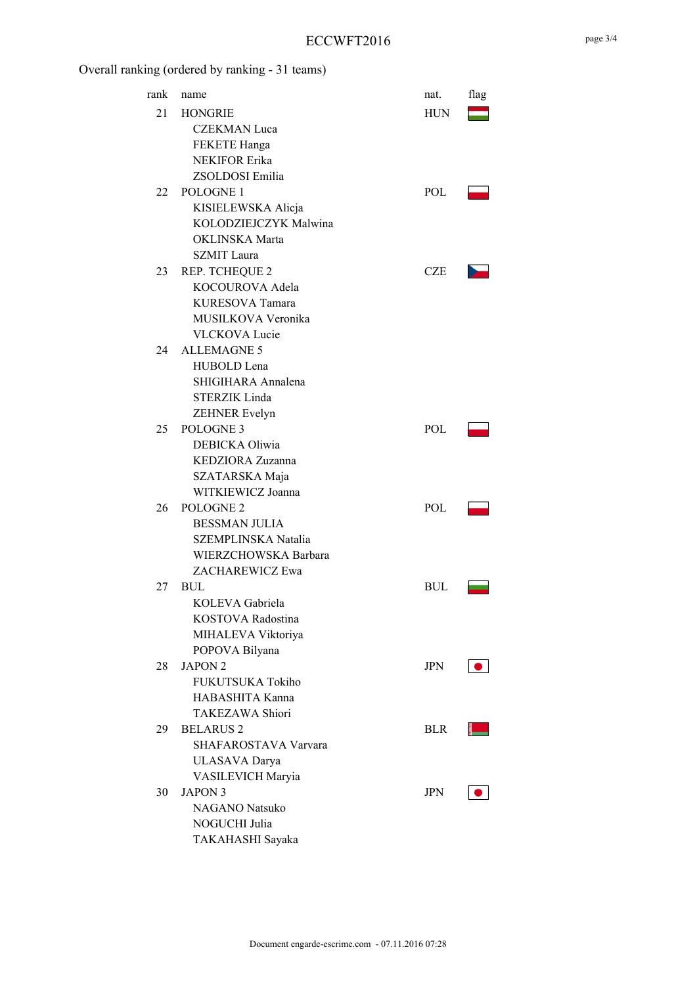### ECCWFT2016

# Overall ranking (ordered by ranking - 31 teams)

| rank | name                  | nat.       | flag |
|------|-----------------------|------------|------|
| 21   | <b>HONGRIE</b>        | <b>HUN</b> |      |
|      | <b>CZEKMAN</b> Luca   |            |      |
|      | FEKETE Hanga          |            |      |
|      | <b>NEKIFOR Erika</b>  |            |      |
|      | ZSOLDOSI Emilia       |            |      |
| 22   | POLOGNE 1             | POL        |      |
|      | KISIELEWSKA Alicja    |            |      |
|      | KOLODZIEJCZYK Malwina |            |      |
|      | <b>OKLINSKA</b> Marta |            |      |
|      | <b>SZMIT</b> Laura    |            |      |
| 23   | <b>REP. TCHEQUE 2</b> | <b>CZE</b> |      |
|      | KOCOUROVA Adela       |            |      |
|      | KURESOVA Tamara       |            |      |
|      | MUSILKOVA Veronika    |            |      |
|      | <b>VLCKOVA Lucie</b>  |            |      |
| 24   | <b>ALLEMAGNE 5</b>    |            |      |
|      | HUBOLD Lena           |            |      |
|      | SHIGIHARA Annalena    |            |      |
|      | STERZIK Linda         |            |      |
|      | <b>ZEHNER Evelyn</b>  |            |      |
| 25   | POLOGNE <sub>3</sub>  | <b>POL</b> |      |
|      | DEBICKA Oliwia        |            |      |
|      | KEDZIORA Zuzanna      |            |      |
|      | SZATARSKA Maja        |            |      |
|      | WITKIEWICZ Joanna     |            |      |
| 26   | POLOGNE <sub>2</sub>  | <b>POL</b> |      |
|      | <b>BESSMAN JULIA</b>  |            |      |
|      | SZEMPLINSKA Natalia   |            |      |
|      | WIERZCHOWSKA Barbara  |            |      |
|      | ZACHAREWICZ Ewa       |            |      |
|      |                       |            |      |
| 27   | BUL                   | BUL        |      |
|      | KOLEVA Gabriela       |            |      |
|      | KOSTOVA Radostina     |            |      |
|      | MIHALEVA Viktoriya    |            |      |
|      | POPOVA Bilyana        |            |      |
| 28   | <b>JAPON 2</b>        | <b>JPN</b> |      |
|      | FUKUTSUKA Tokiho      |            |      |
|      | HABASHITA Kanna       |            |      |
|      | TAKEZAWA Shiori       |            |      |
| 29   | <b>BELARUS 2</b>      | <b>BLR</b> |      |
|      | SHAFAROSTAVA Varvara  |            |      |
|      | <b>ULASAVA</b> Darya  |            |      |
|      | VASILEVICH Maryia     |            |      |
| 30   | <b>JAPON 3</b>        | JPN        |      |
|      | <b>NAGANO</b> Natsuko |            |      |
|      | NOGUCHI Julia         |            |      |
|      | TAKAHASHI Sayaka      |            |      |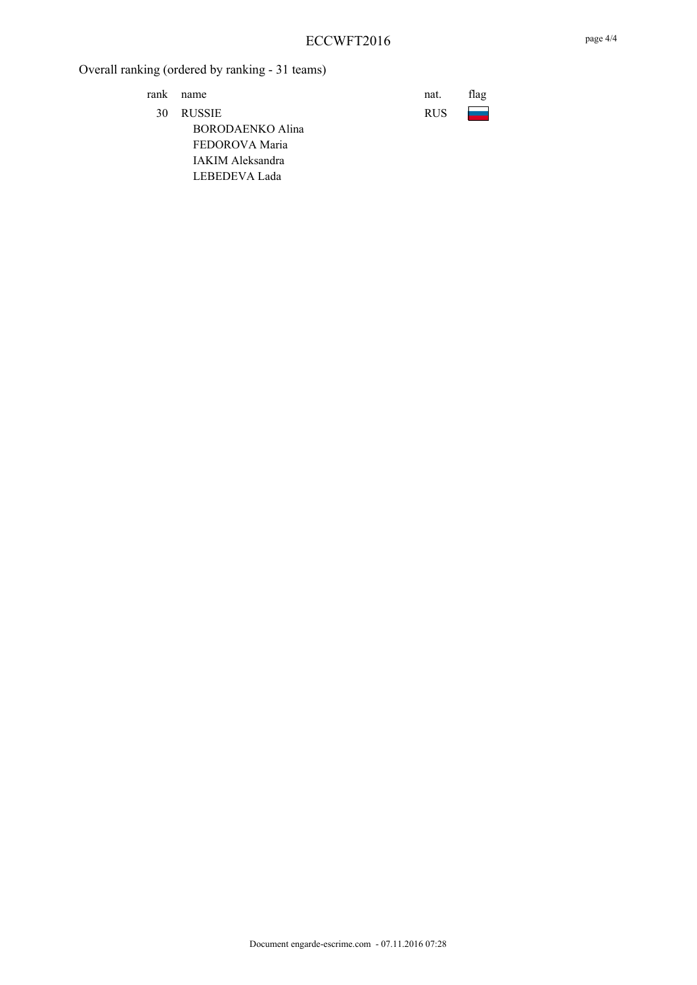rank name nat. flag

30 RUSSIE RUS BORODAENKO Alina FEDOROVA Maria IAKIM Aleksandra LEBEDEVA Lada

| ıat.  | flag |
|-------|------|
| १। ।ऽ |      |